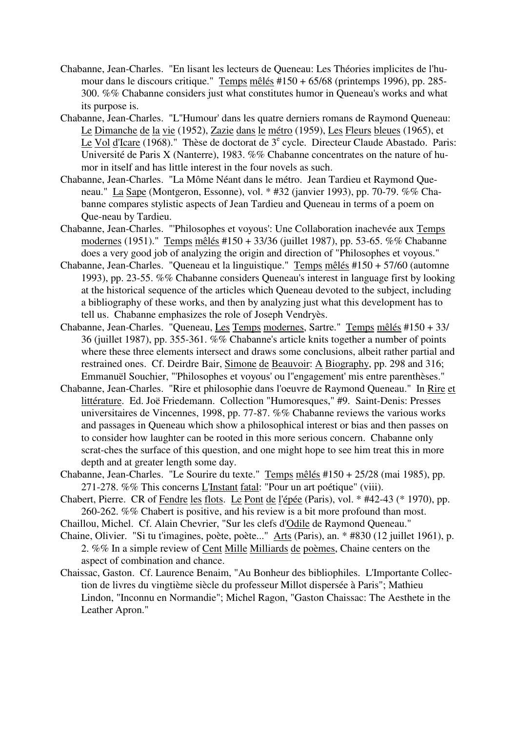- Chabanne, Jean-Charles. "En lisant les lecteurs de Queneau: Les Théories implicites de l'humour dans le discours critique." Temps mêlés #150 + 65/68 (printemps 1996), pp. 285- 300. %% Chabanne considers just what constitutes humor in Queneau's works and what its purpose is.
- Chabanne, Jean-Charles. "L''Humour' dans les quatre derniers romans de Raymond Queneau: Le Dimanche de la vie (1952), Zazie dans le métro (1959), Les Fleurs bleues (1965), et Le Vol d'Icare (1968)." Thèse de doctorat de 3<sup>e</sup> cycle. Directeur Claude Abastado. Paris: Université de Paris X (Nanterre), 1983. %% Chabanne concentrates on the nature of humor in itself and has little interest in the four novels as such.
- Chabanne, Jean-Charles. "La Môme Néant dans le métro. Jean Tardieu et Raymond Queneau." La Sape (Montgeron, Essonne), vol. \* #32 (janvier 1993), pp. 70-79. %% Chabanne compares stylistic aspects of Jean Tardieu and Queneau in terms of a poem on Que-neau by Tardieu.
- Chabanne, Jean-Charles. "'Philosophes et voyous': Une Collaboration inachevée aux Temps modernes (1951)." Temps mêlés #150 + 33/36 (juillet 1987), pp. 53-65. %% Chabanne does a very good job of analyzing the origin and direction of "Philosophes et voyous."
- Chabanne, Jean-Charles. "Queneau et la linguistique." Temps mêlés #150 + 57/60 (automne 1993), pp. 23-55. %% Chabanne considers Queneau's interest in language first by looking at the historical sequence of the articles which Queneau devoted to the subject, including a bibliography of these works, and then by analyzing just what this development has to tell us. Chabanne emphasizes the role of Joseph Vendryès.
- Chabanne, Jean-Charles. "Queneau, Les Temps modernes, Sartre." Temps mêlés #150 + 33/ 36 (juillet 1987), pp. 355-361. %% Chabanne's article knits together a number of points where these three elements intersect and draws some conclusions, albeit rather partial and restrained ones. Cf. Deirdre Bair, Simone de Beauvoir: A Biography, pp. 298 and 316; Emmanuël Souchier, "'Philosophes et voyous' ou l''engagement' mis entre parenthèses."
- Chabanne, Jean-Charles. "Rire et philosophie dans l'oeuvre de Raymond Queneau." In Rire et littérature. Ed. Joë Friedemann. Collection "Humoresques," #9. Saint-Denis: Presses universitaires de Vincennes, 1998, pp. 77-87. %% Chabanne reviews the various works and passages in Queneau which show a philosophical interest or bias and then passes on to consider how laughter can be rooted in this more serious concern. Chabanne only scrat-ches the surface of this question, and one might hope to see him treat this in more depth and at greater length some day.
- Chabanne, Jean-Charles. "Le Sourire du texte." Temps mêlés #150 + 25/28 (mai 1985), pp. 271-278. %% This concerns L'Instant fatal: "Pour un art poétique" (viii).
- Chabert, Pierre. CR of Fendre les flots. Le Pont de l'épée (Paris), vol. \* #42-43 (\* 1970), pp. 260-262. %% Chabert is positive, and his review is a bit more profound than most.
- Chaillou, Michel. Cf. Alain Chevrier, "Sur les clefs d'Odile de Raymond Queneau."
- Chaine, Olivier. "Si tu t'imagines, poète, poète..." Arts (Paris), an. \* #830 (12 juillet 1961), p. 2. %% In a simple review of Cent Mille Milliards de poèmes, Chaine centers on the aspect of combination and chance.
- Chaissac, Gaston. Cf. Laurence Benaim, "Au Bonheur des bibliophiles. L'Importante Collection de livres du vingtième siècle du professeur Millot dispersée à Paris"; Mathieu Lindon, "Inconnu en Normandie"; Michel Ragon, "Gaston Chaissac: The Aesthete in the Leather Apron."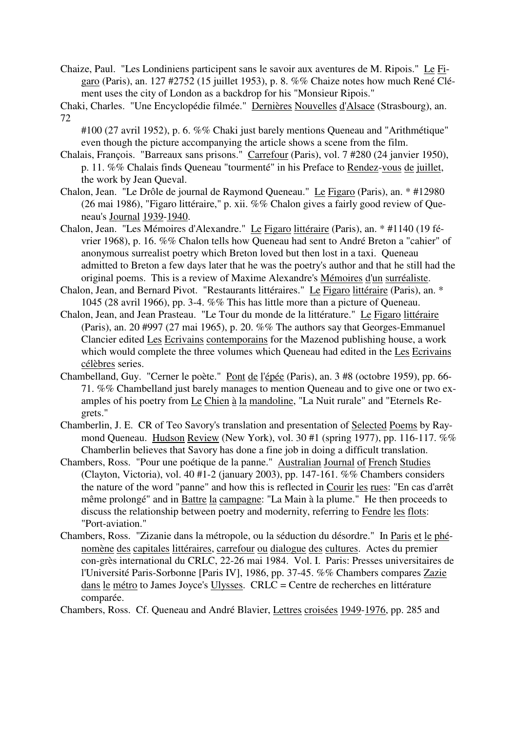- Chaize, Paul. "Les Londiniens participent sans le savoir aux aventures de M. Ripois." Le Figaro (Paris), an. 127 #2752 (15 juillet 1953), p. 8. %% Chaize notes how much René Clément uses the city of London as a backdrop for his "Monsieur Ripois."
- Chaki, Charles. "Une Encyclopédie filmée." Dernières Nouvelles d'Alsace (Strasbourg), an. 72
	- #100 (27 avril 1952), p. 6. %% Chaki just barely mentions Queneau and "Arithmétique" even though the picture accompanying the article shows a scene from the film.
- Chalais, François. "Barreaux sans prisons." Carrefour (Paris), vol. 7 #280 (24 janvier 1950), p. 11. %% Chalais finds Queneau "tourmenté" in his Preface to Rendez-vous de juillet, the work by Jean Queval.
- Chalon, Jean. "Le Drôle de journal de Raymond Queneau." Le Figaro (Paris), an. \* #12980 (26 mai 1986), "Figaro littéraire," p. xii. %% Chalon gives a fairly good review of Queneau's Journal 1939-1940.
- Chalon, Jean. "Les Mémoires d'Alexandre." Le Figaro littéraire (Paris), an. \* #1140 (19 février 1968), p. 16. %% Chalon tells how Queneau had sent to André Breton a "cahier" of anonymous surrealist poetry which Breton loved but then lost in a taxi. Queneau admitted to Breton a few days later that he was the poetry's author and that he still had the original poems. This is a review of Maxime Alexandre's Mémoires d'un surréaliste.
- Chalon, Jean, and Bernard Pivot. "Restaurants littéraires." Le Figaro littéraire (Paris), an. \* 1045 (28 avril 1966), pp. 3-4. %% This has little more than a picture of Queneau.
- Chalon, Jean, and Jean Prasteau. "Le Tour du monde de la littérature." Le Figaro littéraire (Paris), an. 20 #997 (27 mai 1965), p. 20. %% The authors say that Georges-Emmanuel Clancier edited Les Ecrivains contemporains for the Mazenod publishing house, a work which would complete the three volumes which Queneau had edited in the Les Ecrivains célèbres series.
- Chambelland, Guy. "Cerner le poète." Pont de l'épée (Paris), an. 3 #8 (octobre 1959), pp. 66- 71. %% Chambelland just barely manages to mention Queneau and to give one or two examples of his poetry from Le Chien à la mandoline, "La Nuit rurale" and "Eternels Regrets."
- Chamberlin, J. E. CR of Teo Savory's translation and presentation of Selected Poems by Raymond Queneau. Hudson Review (New York), vol. 30 #1 (spring 1977), pp. 116-117. %% Chamberlin believes that Savory has done a fine job in doing a difficult translation.
- Chambers, Ross. "Pour une poétique de la panne." Australian Journal of French Studies (Clayton, Victoria), vol. 40 #1-2 (january 2003), pp. 147-161. %% Chambers considers the nature of the word "panne" and how this is reflected in Courir les rues: "En cas d'arrêt même prolongé" and in Battre la campagne: "La Main à la plume." He then proceeds to discuss the relationship between poetry and modernity, referring to Fendre les flots: "Port-aviation."
- Chambers, Ross. "Zizanie dans la métropole, ou la séduction du désordre." In Paris et le phénomène des capitales littéraires, carrefour ou dialogue des cultures. Actes du premier con-grès international du CRLC, 22-26 mai 1984. Vol. I. Paris: Presses universitaires de l'Université Paris-Sorbonne [Paris IV], 1986, pp. 37-45. %% Chambers compares Zazie dans le métro to James Joyce's Ulysses. CRLC = Centre de recherches en littérature comparée.

Chambers, Ross. Cf. Queneau and André Blavier, Lettres croisées 1949-1976, pp. 285 and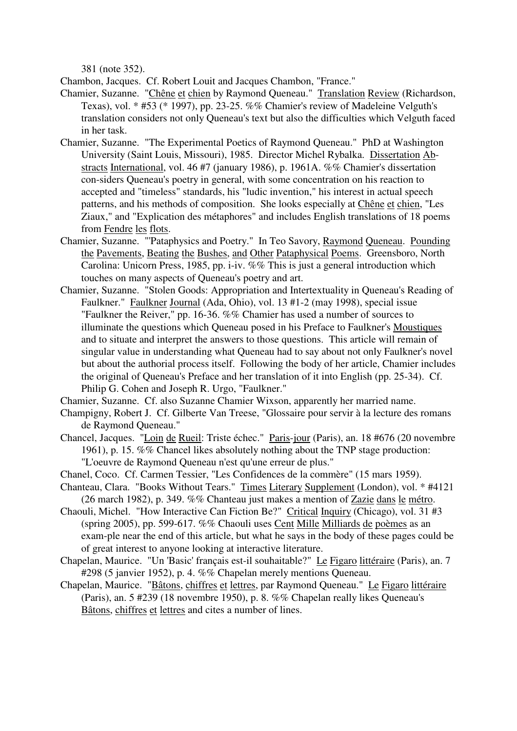381 (note 352).

Chambon, Jacques. Cf. Robert Louit and Jacques Chambon, "France."

- Chamier, Suzanne. "Chêne et chien by Raymond Queneau." Translation Review (Richardson, Texas), vol. \* #53 (\* 1997), pp. 23-25. %% Chamier's review of Madeleine Velguth's translation considers not only Queneau's text but also the difficulties which Velguth faced in her task.
- Chamier, Suzanne. "The Experimental Poetics of Raymond Queneau." PhD at Washington University (Saint Louis, Missouri), 1985. Director Michel Rybalka. Dissertation Abstracts International, vol. 46 #7 (january 1986), p. 1961A. %% Chamier's dissertation con-siders Queneau's poetry in general, with some concentration on his reaction to accepted and "timeless" standards, his "ludic invention," his interest in actual speech patterns, and his methods of composition. She looks especially at Chêne et chien, "Les Ziaux," and "Explication des métaphores" and includes English translations of 18 poems from Fendre les flots.
- Chamier, Suzanne. "'Pataphysics and Poetry." In Teo Savory, Raymond Queneau. Pounding the Pavements, Beating the Bushes, and Other Pataphysical Poems. Greensboro, North Carolina: Unicorn Press, 1985, pp. i-iv. %% This is just a general introduction which touches on many aspects of Queneau's poetry and art.
- Chamier, Suzanne. "Stolen Goods: Appropriation and Intertextuality in Queneau's Reading of Faulkner." Faulkner Journal (Ada, Ohio), vol. 13 #1-2 (may 1998), special issue "Faulkner the Reiver," pp. 16-36. %% Chamier has used a number of sources to illuminate the questions which Queneau posed in his Preface to Faulkner's Moustiques and to situate and interpret the answers to those questions. This article will remain of singular value in understanding what Queneau had to say about not only Faulkner's novel but about the authorial process itself. Following the body of her article, Chamier includes the original of Queneau's Preface and her translation of it into English (pp. 25-34). Cf. Philip G. Cohen and Joseph R. Urgo, "Faulkner."
- Chamier, Suzanne. Cf. also Suzanne Chamier Wixson, apparently her married name.
- Champigny, Robert J. Cf. Gilberte Van Treese, "Glossaire pour servir à la lecture des romans de Raymond Queneau."
- Chancel, Jacques. "Loin de Rueil: Triste échec." Paris-jour (Paris), an. 18 #676 (20 novembre 1961), p. 15. %% Chancel likes absolutely nothing about the TNP stage production: "L'oeuvre de Raymond Queneau n'est qu'une erreur de plus."
- Chanel, Coco. Cf. Carmen Tessier, "Les Confidences de la commère" (15 mars 1959).
- Chanteau, Clara. "Books Without Tears." Times Literary Supplement (London), vol. \* #4121 (26 march 1982), p. 349. %% Chanteau just makes a mention of Zazie dans le métro.
- Chaouli, Michel. "How Interactive Can Fiction Be?" Critical Inquiry (Chicago), vol. 31 #3 (spring 2005), pp. 599-617. %% Chaouli uses Cent Mille Milliards de poèmes as an exam-ple near the end of this article, but what he says in the body of these pages could be of great interest to anyone looking at interactive literature.
- Chapelan, Maurice. "Un 'Basic' français est-il souhaitable?" Le Figaro littéraire (Paris), an. 7 #298 (5 janvier 1952), p. 4. %% Chapelan merely mentions Queneau.
- Chapelan, Maurice. "Bâtons, chiffres et lettres, par Raymond Queneau." Le Figaro littéraire (Paris), an. 5 #239 (18 novembre 1950), p. 8. %% Chapelan really likes Queneau's Bâtons, chiffres et lettres and cites a number of lines.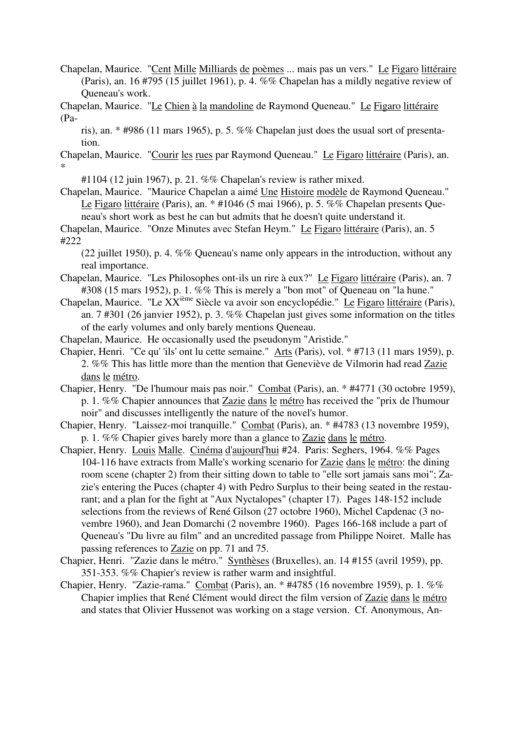- Chapelan, Maurice. "Cent Mille Milliards de poèmes ... mais pas un vers." Le Figaro littéraire (Paris), an. 16 #795 (15 juillet 1961), p. 4. %% Chapelan has a mildly negative review of Queneau's work.
- Chapelan, Maurice. "Le Chien à la mandoline de Raymond Queneau." Le Figaro littéraire (Pa
	- ris), an. \* #986 (11 mars 1965), p. 5. %% Chapelan just does the usual sort of presentation.
- Chapelan, Maurice. "Courir les rues par Raymond Queneau." Le Figaro littéraire (Paris), an. \*

#1104 (12 juin 1967), p. 21. %% Chapelan's review is rather mixed.

Chapelan, Maurice. "Maurice Chapelan a aimé Une Histoire modèle de Raymond Queneau." Le Figaro littéraire (Paris), an. \* #1046 (5 mai 1966), p. 5. %% Chapelan presents Queneau's short work as best he can but admits that he doesn't quite understand it.

Chapelan, Maurice. "Onze Minutes avec Stefan Heym." Le Figaro littéraire (Paris), an. 5 #222

(22 juillet 1950), p. 4.  $\%$  Queneau's name only appears in the introduction, without any real importance.

- Chapelan, Maurice. "Les Philosophes ont-ils un rire à eux?" Le Figaro littéraire (Paris), an. 7 #308 (15 mars 1952), p. 1. %% This is merely a "bon mot" of Queneau on "la hune."
- Chapelan, Maurice. "Le XX<sup>ième</sup> Siècle va avoir son encyclopédie." Le Figaro littéraire (Paris), an. 7 #301 (26 janvier 1952), p. 3. %% Chapelan just gives some information on the titles of the early volumes and only barely mentions Queneau.
- Chapelan, Maurice. He occasionally used the pseudonym "Aristide."
- Chapier, Henri. "Ce qu' 'ils' ont lu cette semaine." Arts (Paris), vol. \* #713 (11 mars 1959), p. 2. %% This has little more than the mention that Geneviève de Vilmorin had read Zazie dans le métro.
- Chapier, Henry. "De l'humour mais pas noir." Combat (Paris), an. \* #4771 (30 octobre 1959), p. 1. %% Chapier announces that Zazie dans le métro has received the "prix de l'humour noir" and discusses intelligently the nature of the novel's humor.
- Chapier, Henry. "Laissez-moi tranquille." Combat (Paris), an. \* #4783 (13 novembre 1959), p. 1. %% Chapier gives barely more than a glance to Zazie dans le métro.
- Chapier, Henry. Louis Malle. Cinéma d'aujourd'hui #24. Paris: Seghers, 1964. %% Pages 104-116 have extracts from Malle's working scenario for Zazie dans le métro: the dining room scene (chapter 2) from their sitting down to table to "elle sort jamais sans moi"; Zazie's entering the Puces (chapter 4) with Pedro Surplus to their being seated in the restaurant; and a plan for the fight at "Aux Nyctalopes" (chapter 17). Pages 148-152 include selections from the reviews of René Gilson (27 octobre 1960), Michel Capdenac (3 novembre 1960), and Jean Domarchi (2 novembre 1960). Pages 166-168 include a part of Queneau's "Du livre au film" and an uncredited passage from Philippe Noiret. Malle has passing references to Zazie on pp. 71 and 75.
- Chapier, Henri. "Zazie dans le métro." Synthèses (Bruxelles), an. 14 #155 (avril 1959), pp. 351-353. %% Chapier's review is rather warm and insightful.
- Chapier, Henry. "Zazie-rama." Combat (Paris), an. \* #4785 (16 novembre 1959), p. 1. %% Chapier implies that René Clément would direct the film version of Zazie dans le métro and states that Olivier Hussenot was working on a stage version. Cf. Anonymous, An-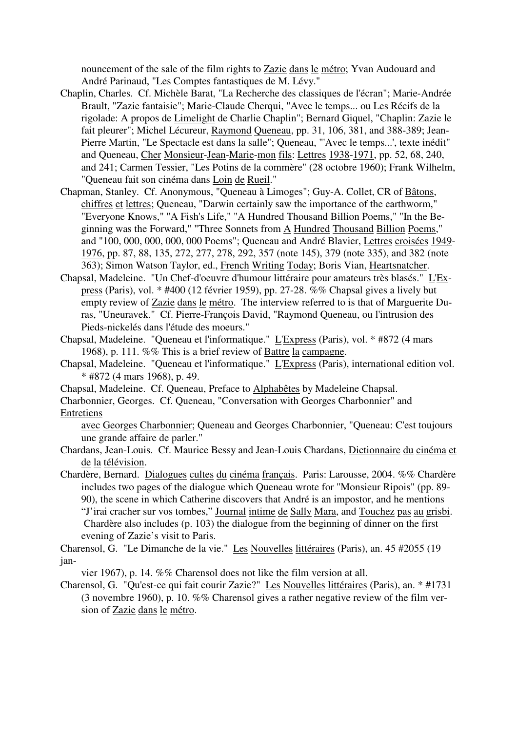nouncement of the sale of the film rights to Zazie dans le métro; Yvan Audouard and André Parinaud, "Les Comptes fantastiques de M. Lévy."

- Chaplin, Charles. Cf. Michèle Barat, "La Recherche des classiques de l'écran"; Marie-Andrée Brault, "Zazie fantaisie"; Marie-Claude Cherqui, "Avec le temps... ou Les Récifs de la rigolade: A propos de Limelight de Charlie Chaplin"; Bernard Giquel, "Chaplin: Zazie le fait pleurer"; Michel Lécureur, Raymond Queneau, pp. 31, 106, 381, and 388-389; Jean-Pierre Martin, "Le Spectacle est dans la salle"; Queneau, "'Avec le temps...', texte inédit" and Queneau, Cher Monsieur-Jean-Marie-mon fils: Lettres 1938-1971, pp. 52, 68, 240, and 241; Carmen Tessier, "Les Potins de la commère" (28 octobre 1960); Frank Wilhelm, "Queneau fait son cinéma dans Loin de Rueil."
- Chapman, Stanley. Cf. Anonymous, "Queneau à Limoges"; Guy-A. Collet, CR of Bâtons, chiffres et lettres; Queneau, "Darwin certainly saw the importance of the earthworm," "Everyone Knows," "A Fish's Life," "A Hundred Thousand Billion Poems," "In the Beginning was the Forward," "Three Sonnets from A Hundred Thousand Billion Poems," and "100, 000, 000, 000, 000 Poems"; Queneau and André Blavier, Lettres croisées 1949- 1976, pp. 87, 88, 135, 272, 277, 278, 292, 357 (note 145), 379 (note 335), and 382 (note 363); Simon Watson Taylor, ed., French Writing Today; Boris Vian, Heartsnatcher.
- Chapsal, Madeleine. "Un Chef-d'oeuvre d'humour littéraire pour amateurs très blasés." L'Express (Paris), vol. \* #400 (12 février 1959), pp. 27-28. %% Chapsal gives a lively but empty review of Zazie dans le métro. The interview referred to is that of Marguerite Duras, "Uneuravek." Cf. Pierre-François David, "Raymond Queneau, ou l'intrusion des Pieds-nickelés dans l'étude des moeurs."
- Chapsal, Madeleine. "Queneau et l'informatique." L'Express (Paris), vol. \* #872 (4 mars 1968), p. 111. %% This is a brief review of Battre la campagne.
- Chapsal, Madeleine. "Queneau et l'informatique." L'Express (Paris), international edition vol. \* #872 (4 mars 1968), p. 49.
- Chapsal, Madeleine. Cf. Queneau, Preface to Alphabêtes by Madeleine Chapsal.
- Charbonnier, Georges. Cf. Queneau, "Conversation with Georges Charbonnier" and Entretiens

avec Georges Charbonnier; Queneau and Georges Charbonnier, "Queneau: C'est toujours une grande affaire de parler."

- Chardans, Jean-Louis. Cf. Maurice Bessy and Jean-Louis Chardans, Dictionnaire du cinéma et de la télévision.
- Chardère, Bernard. Dialogues cultes du cinéma français. Paris: Larousse, 2004. %% Chardère includes two pages of the dialogue which Queneau wrote for "Monsieur Ripois" (pp. 89- 90), the scene in which Catherine discovers that André is an impostor, and he mentions "J'irai cracher sur vos tombes," Journal intime de Sally Mara, and Touchez pas au grisbi. Chardère also includes (p. 103) the dialogue from the beginning of dinner on the first evening of Zazie's visit to Paris.

Charensol, G. "Le Dimanche de la vie." Les Nouvelles littéraires (Paris), an. 45 #2055 (19 jan-

vier 1967), p. 14. %% Charensol does not like the film version at all.

Charensol, G. "Qu'est-ce qui fait courir Zazie?" Les Nouvelles littéraires (Paris), an. \* #1731 (3 novembre 1960), p. 10. %% Charensol gives a rather negative review of the film version of Zazie dans le métro.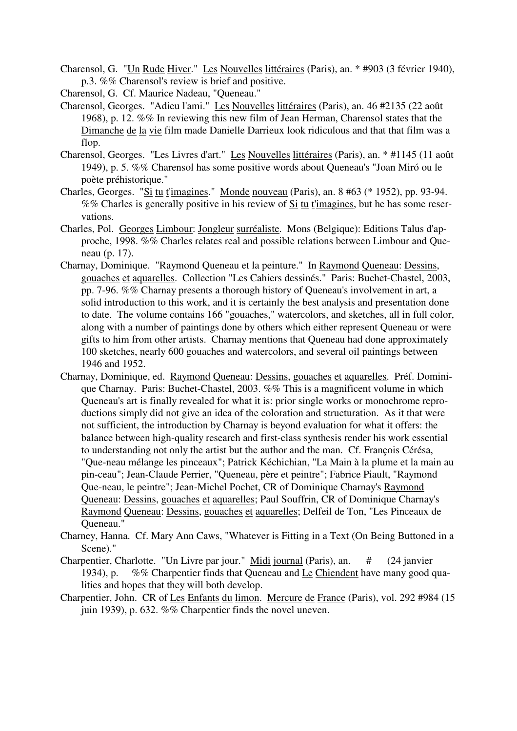- Charensol, G. "Un Rude Hiver." Les Nouvelles littéraires (Paris), an. \* #903 (3 février 1940), p.3. %% Charensol's review is brief and positive.
- Charensol, G. Cf. Maurice Nadeau, "Queneau."
- Charensol, Georges. "Adieu l'ami." Les Nouvelles littéraires (Paris), an. 46 #2135 (22 août 1968), p. 12. %% In reviewing this new film of Jean Herman, Charensol states that the Dimanche de la vie film made Danielle Darrieux look ridiculous and that that film was a flop.
- Charensol, Georges. "Les Livres d'art." Les Nouvelles littéraires (Paris), an. \* #1145 (11 août 1949), p. 5. %% Charensol has some positive words about Queneau's "Joan Miró ou le poète préhistorique."
- Charles, Georges. "Si tu t'imagines." Monde nouveau (Paris), an. 8 #63 (\* 1952), pp. 93-94. %% Charles is generally positive in his review of Si tu t'imagines, but he has some reservations.
- Charles, Pol. Georges Limbour: Jongleur surréaliste. Mons (Belgique): Editions Talus d'approche, 1998. %% Charles relates real and possible relations between Limbour and Queneau (p. 17).
- Charnay, Dominique. "Raymond Queneau et la peinture." In Raymond Queneau: Dessins, gouaches et aquarelles. Collection "Les Cahiers dessinés." Paris: Buchet-Chastel, 2003, pp. 7-96. %% Charnay presents a thorough history of Queneau's involvement in art, a solid introduction to this work, and it is certainly the best analysis and presentation done to date. The volume contains 166 "gouaches," watercolors, and sketches, all in full color, along with a number of paintings done by others which either represent Queneau or were gifts to him from other artists. Charnay mentions that Queneau had done approximately 100 sketches, nearly 600 gouaches and watercolors, and several oil paintings between 1946 and 1952.
- Charnay, Dominique, ed. Raymond Queneau: Dessins, gouaches et aquarelles. Préf. Dominique Charnay. Paris: Buchet-Chastel, 2003. %% This is a magnificent volume in which Queneau's art is finally revealed for what it is: prior single works or monochrome reproductions simply did not give an idea of the coloration and structuration. As it that were not sufficient, the introduction by Charnay is beyond evaluation for what it offers: the balance between high-quality research and first-class synthesis render his work essential to understanding not only the artist but the author and the man. Cf. François Cérésa, "Que-neau mélange les pinceaux"; Patrick Kéchichian, "La Main à la plume et la main au pin-ceau"; Jean-Claude Perrier, "Queneau, père et peintre"; Fabrice Piault, "Raymond Que-neau, le peintre"; Jean-Michel Pochet, CR of Dominique Charnay's Raymond Queneau: Dessins, gouaches et aquarelles; Paul Souffrin, CR of Dominique Charnay's Raymond Queneau: Dessins, gouaches et aquarelles; Delfeil de Ton, "Les Pinceaux de Queneau."
- Charney, Hanna. Cf. Mary Ann Caws, "Whatever is Fitting in a Text (On Being Buttoned in a Scene)."
- Charpentier, Charlotte. "Un Livre par jour." Midi journal (Paris), an. # (24 janvier 1934), p. %% Charpentier finds that Queneau and Le Chiendent have many good qualities and hopes that they will both develop.
- Charpentier, John. CR of Les Enfants du limon. Mercure de France (Paris), vol. 292 #984 (15 juin 1939), p. 632. %% Charpentier finds the novel uneven.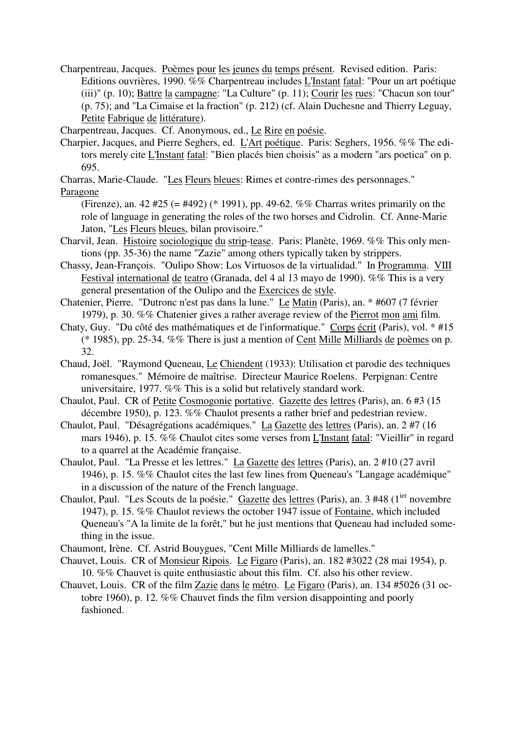Charpentreau, Jacques. Poèmes pour les jeunes du temps présent. Revised edition. Paris: Editions ouvrières, 1990. %% Charpentreau includes L'Instant fatal: "Pour un art poétique (iii)" (p. 10); Battre la campagne: "La Culture" (p. 11); Courir les rues: "Chacun son tour" (p. 75); and "La Cimaise et la fraction" (p. 212) (cf. Alain Duchesne and Thierry Leguay, Petite Fabrique de littérature).

Charpentreau, Jacques. Cf. Anonymous, ed., Le Rire en poésie.

Charpier, Jacques, and Pierre Seghers, ed. L'Art poétique. Paris: Seghers, 1956. %% The editors merely cite L'Instant fatal: "Bien placés bien choisis" as a modern "ars poetica" on p. 695.

Charras, Marie-Claude. "Les Fleurs bleues: Rimes et contre-rimes des personnages." Paragone

- (Firenze), an. 42 #25 (= #492) (\* 1991), pp. 49-62. %% Charras writes primarily on the role of language in generating the roles of the two horses and Cidrolin. Cf. Anne-Marie Jaton, "Les Fleurs bleues, bilan provisoire."
- Charvil, Jean. Histoire sociologique du strip-tease. Paris: Planète, 1969. %% This only mentions (pp. 35-36) the name "Zazie" among others typically taken by strippers.
- Chassy, Jean-François. "Oulipo Show: Los Virtuosos de la virtualidad." In Programma. VIII Festival international de teatro (Granada, del 4 al 13 mayo de 1990). %% This is a very general presentation of the Oulipo and the Exercices de style.
- Chatenier, Pierre. "Dutronc n'est pas dans la lune." Le Matin (Paris), an. \* #607 (7 février 1979), p. 30. %% Chatenier gives a rather average review of the Pierrot mon ami film.
- Chaty, Guy. "Du côté des mathématiques et de l'informatique." Corps écrit (Paris), vol. \* #15 (\* 1985), pp. 25-34. %% There is just a mention of Cent Mille Milliards de poèmes on p. 32.
- Chaud, Joël. "Raymond Queneau, Le Chiendent (1933): Utilisation et parodie des techniques romanesques." Mémoire de maîtrise. Directeur Maurice Roelens. Perpignan: Centre universitaire, 1977. %% This is a solid but relatively standard work.
- Chaulot, Paul. CR of Petite Cosmogonie portative. Gazette des lettres (Paris), an. 6 #3 (15 décembre 1950), p. 123. %% Chaulot presents a rather brief and pedestrian review.
- Chaulot, Paul. "Désagrégations académiques." La Gazette des lettres (Paris), an. 2 #7 (16 mars 1946), p. 15. %% Chaulot cites some verses from L'Instant fatal: "Vieillir" in regard to a quarrel at the Académie française.
- Chaulot, Paul. "La Presse et les lettres." La Gazette des lettres (Paris), an. 2 #10 (27 avril 1946), p. 15. %% Chaulot cites the last few lines from Queneau's "Langage académique" in a discussion of the nature of the French language.
- Chaulot, Paul. "Les Scouts de la poésie." Gazette des lettres (Paris), an. 3 #48 (1<sup>ier</sup> novembre 1947), p. 15. %% Chaulot reviews the october 1947 issue of Fontaine, which included Queneau's "A la limite de la forêt," but he just mentions that Queneau had included something in the issue.
- Chaumont, Irène. Cf. Astrid Bouygues, "Cent Mille Milliards de lamelles."
- Chauvet, Louis. CR of Monsieur Ripois. Le Figaro (Paris), an. 182 #3022 (28 mai 1954), p. 10. %% Chauvet is quite enthusiastic about this film. Cf. also his other review.
- Chauvet, Louis. CR of the film Zazie dans le métro. Le Figaro (Paris), an. 134 #5026 (31 octobre 1960), p. 12. %% Chauvet finds the film version disappointing and poorly fashioned.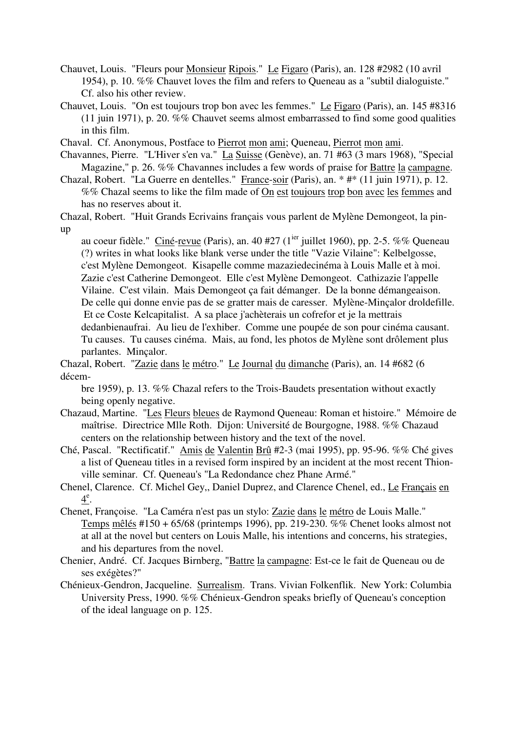- Chauvet, Louis. "Fleurs pour Monsieur Ripois." Le Figaro (Paris), an. 128 #2982 (10 avril 1954), p. 10. %% Chauvet loves the film and refers to Queneau as a "subtil dialoguiste." Cf. also his other review.
- Chauvet, Louis. "On est toujours trop bon avec les femmes." Le Figaro (Paris), an. 145 #8316 (11 juin 1971), p. 20. %% Chauvet seems almost embarrassed to find some good qualities in this film.

Chaval. Cf. Anonymous, Postface to Pierrot mon ami; Queneau, Pierrot mon ami.

- Chavannes, Pierre. "L'Hiver s'en va." La Suisse (Genève), an. 71 #63 (3 mars 1968), "Special Magazine," p. 26. %% Chavannes includes a few words of praise for Battre la campagne.
- Chazal, Robert. "La Guerre en dentelles." France-soir (Paris), an. \* #\* (11 juin 1971), p. 12. %% Chazal seems to like the film made of On est toujours trop bon avec les femmes and has no reserves about it.

Chazal, Robert. "Huit Grands Ecrivains français vous parlent de Mylène Demongeot, la pinup

au coeur fidèle." Ciné-revue (Paris), an. 40 #27 ( $1^{jet}$  juillet 1960), pp. 2-5. %% Queneau (?) writes in what looks like blank verse under the title "Vazie Vilaine": Kelbelgosse, c'est Mylène Demongeot. Kisapelle comme mazaziedecinéma à Louis Malle et à moi. Zazie c'est Catherine Demongeot. Elle c'est Mylène Demongeot. Cathizazie l'appelle Vilaine. C'est vilain. Mais Demongeot ça fait démanger. De la bonne démangeaison. De celle qui donne envie pas de se gratter mais de caresser. Mylène-Minçalor droldefille. Et ce Coste Kelcapitalist. A sa place j'achèterais un cofrefor et je la mettrais dedanbienaufrai. Au lieu de l'exhiber. Comme une poupée de son pour cinéma causant. Tu causes. Tu causes cinéma. Mais, au fond, les photos de Mylène sont drôlement plus parlantes. Minçalor.

Chazal, Robert. "Zazie dans le métro." Le Journal du dimanche (Paris), an. 14 #682 (6 décem-

bre 1959), p. 13. %% Chazal refers to the Trois-Baudets presentation without exactly being openly negative.

- Chazaud, Martine. "Les Fleurs bleues de Raymond Queneau: Roman et histoire." Mémoire de maîtrise. Directrice Mlle Roth. Dijon: Université de Bourgogne, 1988. %% Chazaud centers on the relationship between history and the text of the novel.
- Ché, Pascal. "Rectificatif." Amis de Valentin Brû #2-3 (mai 1995), pp. 95-96. %% Ché gives a list of Queneau titles in a revised form inspired by an incident at the most recent Thionville seminar. Cf. Queneau's "La Redondance chez Phane Armé."
- Chenel, Clarence. Cf. Michel Gey,, Daniel Duprez, and Clarence Chenel, ed., Le Français en  $4^e$ .
- Chenet, Françoise. "La Caméra n'est pas un stylo: Zazie dans le métro de Louis Malle." Temps mêlés #150 + 65/68 (printemps 1996), pp. 219-230. %% Chenet looks almost not at all at the novel but centers on Louis Malle, his intentions and concerns, his strategies, and his departures from the novel.
- Chenier, André. Cf. Jacques Birnberg, "Battre la campagne: Est-ce le fait de Queneau ou de ses exégètes?"
- Chénieux-Gendron, Jacqueline. Surrealism. Trans. Vivian Folkenflik. New York: Columbia University Press, 1990. %% Chénieux-Gendron speaks briefly of Queneau's conception of the ideal language on p. 125.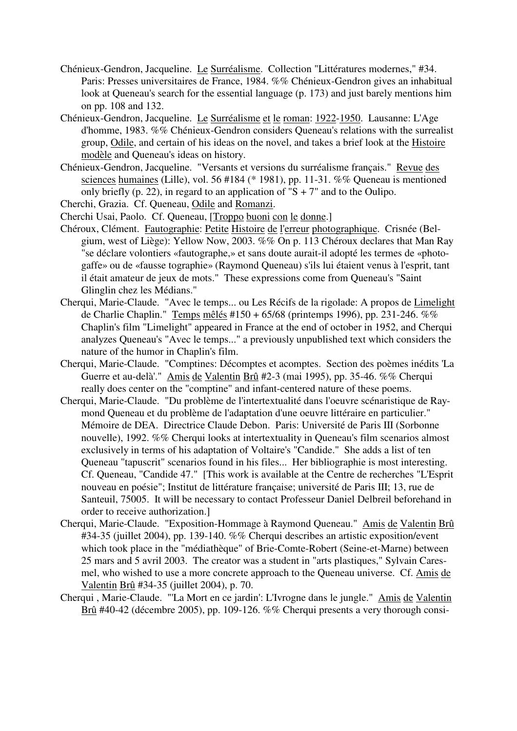- Chénieux-Gendron, Jacqueline. Le Surréalisme. Collection "Littératures modernes," #34. Paris: Presses universitaires de France, 1984. %% Chénieux-Gendron gives an inhabitual look at Queneau's search for the essential language (p. 173) and just barely mentions him on pp. 108 and 132.
- Chénieux-Gendron, Jacqueline. Le Surréalisme et le roman: 1922-1950. Lausanne: L'Age d'homme, 1983. %% Chénieux-Gendron considers Queneau's relations with the surrealist group, Odile, and certain of his ideas on the novel, and takes a brief look at the Histoire modèle and Queneau's ideas on history.
- Chénieux-Gendron, Jacqueline. "Versants et versions du surréalisme français." Revue des sciences humaines (Lille), vol. 56 #184 (\* 1981), pp. 11-31. %% Queneau is mentioned only briefly (p. 22), in regard to an application of " $S + 7$ " and to the Oulipo.
- Cherchi, Grazia. Cf. Queneau, Odile and Romanzi.
- Cherchi Usai, Paolo. Cf. Queneau, [Troppo buoni con le donne.]
- Chéroux, Clément. Fautographie: Petite Histoire de l'erreur photographique. Crisnée (Belgium, west of Liège): Yellow Now, 2003. %% On p. 113 Chéroux declares that Man Ray "se déclare volontiers «fautographe,» et sans doute aurait-il adopté les termes de «photogaffe» ou de «fausse tographie» (Raymond Queneau) s'ils lui étaient venus à l'esprit, tant il était amateur de jeux de mots." These expressions come from Queneau's "Saint Glinglin chez les Médians."
- Cherqui, Marie-Claude. "Avec le temps... ou Les Récifs de la rigolade: A propos de Limelight de Charlie Chaplin." Temps mêlés #150 + 65/68 (printemps 1996), pp. 231-246. %% Chaplin's film "Limelight" appeared in France at the end of october in 1952, and Cherqui analyzes Queneau's "Avec le temps..." a previously unpublished text which considers the nature of the humor in Chaplin's film.
- Cherqui, Marie-Claude. "Comptines: Décomptes et acomptes. Section des poèmes inédits 'La Guerre et au-delà'." Amis de Valentin Brû #2-3 (mai 1995), pp. 35-46. %% Cherqui really does center on the "comptine" and infant-centered nature of these poems.
- Cherqui, Marie-Claude. "Du problème de l'intertextualité dans l'oeuvre scénaristique de Raymond Queneau et du problème de l'adaptation d'une oeuvre littéraire en particulier." Mémoire de DEA. Directrice Claude Debon. Paris: Université de Paris III (Sorbonne nouvelle), 1992. %% Cherqui looks at intertextuality in Queneau's film scenarios almost exclusively in terms of his adaptation of Voltaire's "Candide." She adds a list of ten Queneau "tapuscrit" scenarios found in his files... Her bibliographie is most interesting. Cf. Queneau, "Candide 47." [This work is available at the Centre de recherches "L'Esprit nouveau en poésie"; Institut de littérature française; université de Paris III; 13, rue de Santeuil, 75005. It will be necessary to contact Professeur Daniel Delbreil beforehand in order to receive authorization.]
- Cherqui, Marie-Claude. "Exposition-Hommage à Raymond Queneau." Amis de Valentin Brû #34-35 (juillet 2004), pp. 139-140. %% Cherqui describes an artistic exposition/event which took place in the "médiathèque" of Brie-Comte-Robert (Seine-et-Marne) between 25 mars and 5 avril 2003. The creator was a student in "arts plastiques," Sylvain Caresmel, who wished to use a more concrete approach to the Queneau universe. Cf. Amis de Valentin Brû #34-35 (juillet 2004), p. 70.
- Cherqui , Marie-Claude. "'La Mort en ce jardin': L'Ivrogne dans le jungle." Amis de Valentin Brû #40-42 (décembre 2005), pp. 109-126. %% Cherqui presents a very thorough consi-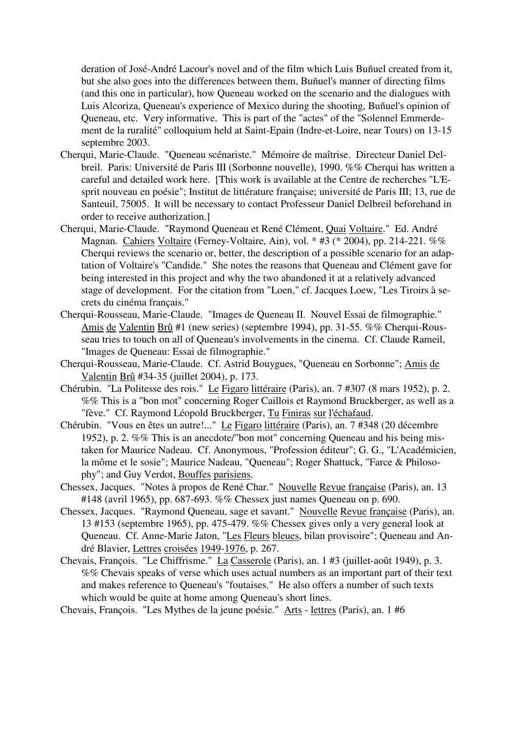deration of José-André Lacour's novel and of the film which Luis Buñuel created from it, but she also goes into the differences between them, Buñuel's manner of directing films (and this one in particular), how Queneau worked on the scenario and the dialogues with Luis Alcoriza, Queneau's experience of Mexico during the shooting, Buñuel's opinion of Queneau, etc. Very informative. This is part of the "actes" of the "Solennel Emmerdement de la ruralité" colloquium held at Saint-Epain (Indre-et-Loire, near Tours) on 13-15 septembre 2003.

- Cherqui, Marie-Claude. "Queneau scénariste." Mémoire de maîtrise. Directeur Daniel Delbreil. Paris: Université de Paris III (Sorbonne nouvelle), 1990. %% Cherqui has written a careful and detailed work here. [This work is available at the Centre de recherches "L'Esprit nouveau en poésie"; Institut de littérature française; université de Paris III; 13, rue de Santeuil, 75005. It will be necessary to contact Professeur Daniel Delbreil beforehand in order to receive authorization.]
- Cherqui, Marie-Claude. "Raymond Queneau et René Clément, Quai Voltaire." Ed. André Magnan. Cahiers Voltaire (Ferney-Voltaire, Ain), vol. \* #3 (\* 2004), pp. 214-221. %% Cherqui reviews the scenario or, better, the description of a possible scenario for an adaptation of Voltaire's "Candide." She notes the reasons that Queneau and Clément gave for being interested in this project and why the two abandoned it at a relatively advanced stage of development. For the citation from "Loen," cf. Jacques Loew, "Les Tiroirs à secrets du cinéma français."
- Cherqui-Rousseau, Marie-Claude. "Images de Queneau II. Nouvel Essai de filmographie." Amis de Valentin Brû #1 (new series) (septembre 1994), pp. 31-55. %% Cherqui-Rousseau tries to touch on all of Queneau's involvements in the cinema. Cf. Claude Rameil, "Images de Queneau: Essai de filmographie."
- Cherqui-Rousseau, Marie-Claude. Cf. Astrid Bouygues, "Queneau en Sorbonne"; Amis de Valentin Brû #34-35 (juillet 2004), p. 173.
- Chérubin. "La Politesse des rois." Le Figaro littéraire (Paris), an. 7 #307 (8 mars 1952), p. 2. %% This is a "bon mot" concerning Roger Caillois et Raymond Bruckberger, as well as a "fève." Cf. Raymond Léopold Bruckberger, Tu Finiras sur l'échafaud.
- Chérubin. "Vous en êtes un autre!..." Le Figaro littéraire (Paris), an. 7 #348 (20 décembre 1952), p. 2. %% This is an anecdote/"bon mot" concerning Queneau and his being mistaken for Maurice Nadeau. Cf. Anonymous, "Profession éditeur"; G. G., "L'Académicien, la môme et le sosie"; Maurice Nadeau, "Queneau"; Roger Shattuck, "Farce & Philosophy"; and Guy Verdot, Bouffes parisiens.
- Chessex, Jacques. "Notes à propos de René Char." Nouvelle Revue française (Paris), an. 13 #148 (avril 1965), pp. 687-693. %% Chessex just names Queneau on p. 690.
- Chessex, Jacques. "Raymond Queneau, sage et savant." Nouvelle Revue française (Paris), an. 13 #153 (septembre 1965), pp. 475-479. %% Chessex gives only a very general look at Queneau. Cf. Anne-Marie Jaton, "Les Fleurs bleues, bilan provisoire"; Queneau and André Blavier, Lettres croisées 1949-1976, p. 267.
- Chevais, François. "Le Chiffrisme." La Casserole (Paris), an. 1 #3 (juillet-août 1949), p. 3. %% Chevais speaks of verse which uses actual numbers as an important part of their text and makes reference to Queneau's "foutaises." He also offers a number of such texts which would be quite at home among Queneau's short lines.
- Chevais, François. "Les Mythes de la jeune poésie." Arts lettres (Paris), an. 1 #6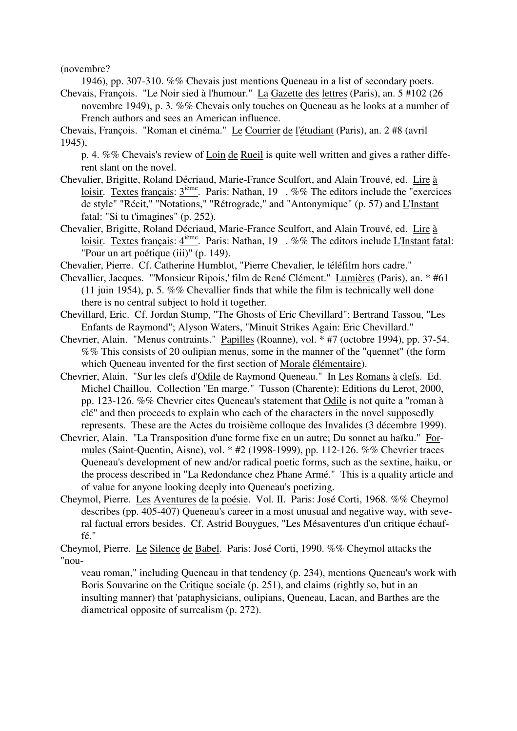(novembre?

1946), pp. 307-310. %% Chevais just mentions Queneau in a list of secondary poets.

Chevais, François. "Le Noir sied à l'humour." La Gazette des lettres (Paris), an. 5 #102 (26 novembre 1949), p. 3. %% Chevais only touches on Queneau as he looks at a number of French authors and sees an American influence.

Chevais, François. "Roman et cinéma." Le Courrier de l'étudiant (Paris), an. 2 #8 (avril 1945),

p. 4. %% Chevais's review of Loin de Rueil is quite well written and gives a rather different slant on the novel.

- Chevalier, Brigitte, Roland Décriaud, Marie-France Sculfort, and Alain Trouvé, ed. Lire à loisir. Textes français:  $3^{i\text{eme}}$ . Paris: Nathan, 19 . %% The editors include the "exercices" de style" "Récit," "Notations," "Rétrograde," and "Antonymique" (p. 57) and L'Instant fatal: "Si tu t'imagines" (p. 252).
- Chevalier, Brigitte, Roland Décriaud, Marie-France Sculfort, and Alain Trouvé, ed. Lire à loisir. Textes français:  $4^{i\text{eme}}$ . Paris: Nathan, 19 . %% The editors include L'Instant fatal: "Pour un art poétique (iii)" (p. 149).
- Chevalier, Pierre. Cf. Catherine Humblot, "Pierre Chevalier, le téléfilm hors cadre."
- Chevallier, Jacques. "'Monsieur Ripois,' film de René Clément." Lumières (Paris), an. \* #61 (11 juin 1954), p. 5.  $\%$ % Chevallier finds that while the film is technically well done there is no central subject to hold it together.
- Chevillard, Eric. Cf. Jordan Stump, "The Ghosts of Eric Chevillard"; Bertrand Tassou, "Les Enfants de Raymond"; Alyson Waters, "Minuit Strikes Again: Eric Chevillard."
- Chevrier, Alain. "Menus contraints." Papilles (Roanne), vol. \* #7 (octobre 1994), pp. 37-54. %% This consists of 20 oulipian menus, some in the manner of the "quennet" (the form which Queneau invented for the first section of Morale élémentaire).
- Chevrier, Alain. "Sur les clefs d'Odile de Raymond Queneau." In Les Romans à clefs. Ed. Michel Chaillou. Collection "En marge." Tusson (Charente): Editions du Lerot, 2000, pp. 123-126. %% Chevrier cites Queneau's statement that Odile is not quite a "roman à clé" and then proceeds to explain who each of the characters in the novel supposedly represents. These are the Actes du troisième colloque des Invalides (3 décembre 1999).
- Chevrier, Alain. "La Transposition d'une forme fixe en un autre; Du sonnet au haïku." Formules (Saint-Quentin, Aisne), vol. \* #2 (1998-1999), pp. 112-126. %% Chevrier traces Queneau's development of new and/or radical poetic forms, such as the sextine, haiku, or the process described in "La Redondance chez Phane Armé." This is a quality article and of value for anyone looking deeply into Queneau's poetizing.
- Cheymol, Pierre. Les Aventures de la poésie. Vol. II. Paris: José Corti, 1968. %% Cheymol describes (pp. 405-407) Queneau's career in a most unusual and negative way, with several factual errors besides. Cf. Astrid Bouygues, "Les Mésaventures d'un critique échauffé."
- Cheymol, Pierre. Le Silence de Babel. Paris: José Corti, 1990. %% Cheymol attacks the "nou-

veau roman," including Queneau in that tendency (p. 234), mentions Queneau's work with Boris Souvarine on the Critique sociale (p. 251), and claims (rightly so, but in an insulting manner) that 'pataphysicians, oulipians, Queneau, Lacan, and Barthes are the diametrical opposite of surrealism (p. 272).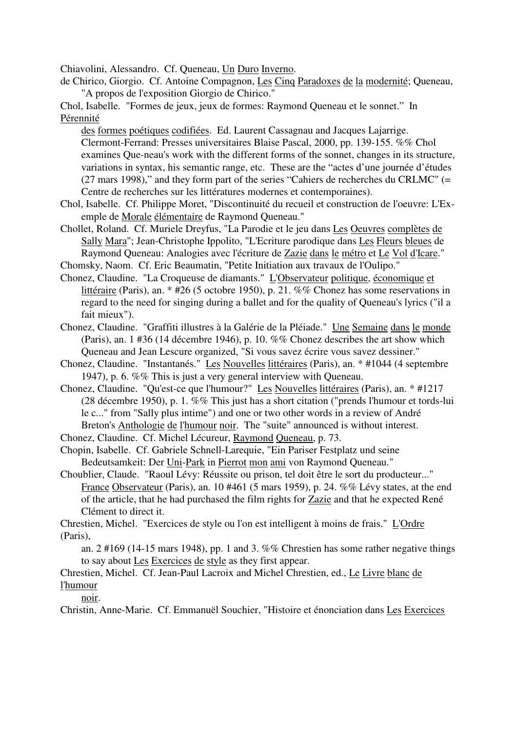Chiavolini, Alessandro. Cf. Queneau, Un Duro Inverno.

de Chirico, Giorgio. Cf. Antoine Compagnon, Les Cinq Paradoxes de la modernité; Queneau, "A propos de l'exposition Giorgio de Chirico."

Chol, Isabelle. "Formes de jeux, jeux de formes: Raymond Queneau et le sonnet." In Pérennité

des formes poétiques codifiées. Ed. Laurent Cassagnau and Jacques Lajarrige. Clermont-Ferrand: Presses universitaires Blaise Pascal, 2000, pp. 139-155. %% Chol examines Que-neau's work with the different forms of the sonnet, changes in its structure, variations in syntax, his semantic range, etc. These are the "actes d'une journée d'études (27 mars 1998)," and they form part of the series "Cahiers de recherches du CRLMC" (= Centre de recherches sur les littératures modernes et contemporaines).

- Chol, Isabelle. Cf. Philippe Moret, "Discontinuité du recueil et construction de l'oeuvre: L'Exemple de Morale élémentaire de Raymond Queneau."
- Chollet, Roland. Cf. Muriele Dreyfus, "La Parodie et le jeu dans Les Oeuvres complètes de Sally Mara"; Jean-Christophe Ippolito, "L'Ecriture parodique dans Les Fleurs bleues de Raymond Queneau: Analogies avec l'écriture de Zazie dans le métro et Le Vol d'Icare."
- Chomsky, Naom. Cf. Eric Beaumatin, "Petite Initiation aux travaux de l'Oulipo."
- Chonez, Claudine. "La Croqueuse de diamants." L'Observateur politique, économique et littéraire (Paris), an. \* #26 (5 octobre 1950), p. 21. %% Chonez has some reservations in regard to the need for singing during a ballet and for the quality of Queneau's lyrics ("il a fait mieux").
- Chonez, Claudine. "Graffiti illustres à la Galérie de la Pléiade." Une Semaine dans le monde (Paris), an. 1 #36 (14 décembre 1946), p. 10. %% Chonez describes the art show which Queneau and Jean Lescure organized, "Si vous savez écrire vous savez dessiner."
- Chonez, Claudine. "Instantanés." Les Nouvelles littéraires (Paris), an. \* #1044 (4 septembre 1947), p. 6. %% This is just a very general interview with Queneau.
- Chonez, Claudine. "Qu'est-ce que l'humour?" Les Nouvelles littéraires (Paris), an. \* #1217 (28 décembre 1950), p. 1. %% This just has a short citation ("prends l'humour et tords-lui le c..." from "Sally plus intime") and one or two other words in a review of André Breton's Anthologie de l'humour noir. The "suite" announced is without interest.

Chonez, Claudine. Cf. Michel Lécureur, Raymond Queneau, p. 73.

- Chopin, Isabelle. Cf. Gabriele Schnell-Larequie, "Ein Pariser Festplatz und seine Bedeutsamkeit: Der Uni-Park in Pierrot mon ami von Raymond Queneau."
- Choublier, Claude. "Raoul Lévy: Réussite ou prison, tel doit être le sort du producteur..." France Observateur (Paris), an. 10 #461 (5 mars 1959), p. 24. %% Lévy states, at the end of the article, that he had purchased the film rights for Zazie and that he expected René Clément to direct it.

Chrestien, Michel. "Exercices de style ou l'on est intelligent à moins de frais." L'Ordre (Paris),

an. 2 #169 (14-15 mars 1948), pp. 1 and 3. %% Chrestien has some rather negative things to say about Les Exercices de style as they first appear.

## Chrestien, Michel. Cf. Jean-Paul Lacroix and Michel Chrestien, ed., Le Livre blanc de l'humour

noir.

Christin, Anne-Marie. Cf. Emmanuël Souchier, "Histoire et énonciation dans Les Exercices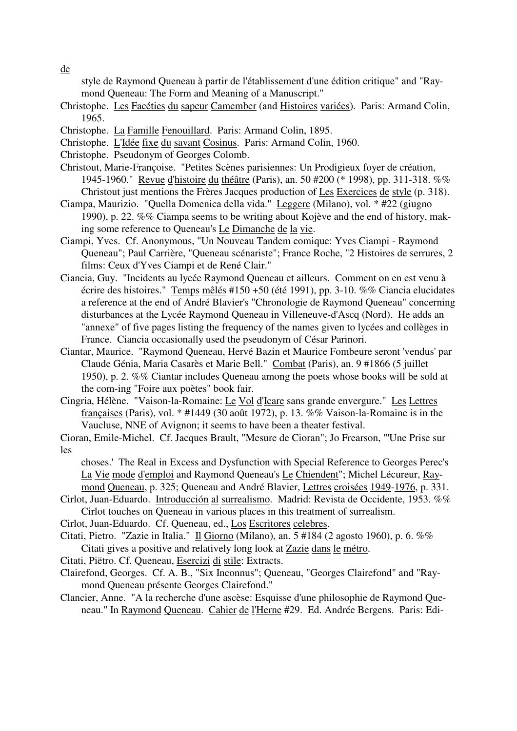de

style de Raymond Queneau à partir de l'établissement d'une édition critique" and "Raymond Queneau: The Form and Meaning of a Manuscript."

- Christophe. Les Facéties du sapeur Camember (and Histoires variées). Paris: Armand Colin, 1965.
- Christophe. La Famille Fenouillard. Paris: Armand Colin, 1895.
- Christophe. L'Idée fixe du savant Cosinus. Paris: Armand Colin, 1960.
- Christophe. Pseudonym of Georges Colomb.
- Christout, Marie-Françoise. "Petites Scènes parisiennes: Un Prodigieux foyer de création, 1945-1960." Revue d'histoire du théâtre (Paris), an. 50 #200 (\* 1998), pp. 311-318. %% Christout just mentions the Frères Jacques production of Les Exercices de style (p. 318).
- Ciampa, Maurizio. "Quella Domenica della vida." Leggere (Milano), vol. \* #22 (giugno 1990), p. 22. %% Ciampa seems to be writing about Kojève and the end of history, making some reference to Queneau's Le Dimanche de la vie.
- Ciampi, Yves. Cf. Anonymous, "Un Nouveau Tandem comique: Yves Ciampi Raymond Queneau"; Paul Carrière, "Queneau scénariste"; France Roche, "2 Histoires de serrures, 2 films: Ceux d'Yves Ciampi et de René Clair."
- Ciancia, Guy. "Incidents au lycée Raymond Queneau et ailleurs. Comment on en est venu à écrire des histoires." Temps mêlés #150 +50 (été 1991), pp. 3-10. %% Ciancia elucidates a reference at the end of André Blavier's "Chronologie de Raymond Queneau" concerning disturbances at the Lycée Raymond Queneau in Villeneuve-d'Ascq (Nord). He adds an "annexe" of five pages listing the frequency of the names given to lycées and collèges in France. Ciancia occasionally used the pseudonym of César Parinori.
- Ciantar, Maurice. "Raymond Queneau, Hervé Bazin et Maurice Fombeure seront 'vendus' par Claude Génia, Maria Casarès et Marie Bell." Combat (Paris), an. 9 #1866 (5 juillet 1950), p. 2. %% Ciantar includes Queneau among the poets whose books will be sold at the com-ing "Foire aux poètes" book fair.
- Cingria, Hélène. "Vaison-la-Romaine: Le Vol d'Icare sans grande envergure." Les Lettres françaises (Paris), vol. \* #1449 (30 août 1972), p. 13. %% Vaison-la-Romaine is in the Vaucluse, NNE of Avignon; it seems to have been a theater festival.
- Cioran, Emile-Michel. Cf. Jacques Brault, "Mesure de Cioran"; Jo Frearson, "'Une Prise sur les

choses.' The Real in Excess and Dysfunction with Special Reference to Georges Perec's La Vie mode d'emploi and Raymond Queneau's Le Chiendent"; Michel Lécureur, Raymond Queneau, p. 325; Queneau and André Blavier, Lettres croisées 1949-1976, p. 331.

Cirlot, Juan-Eduardo. Introducción al surrealismo. Madrid: Revista de Occidente, 1953. %% Cirlot touches on Queneau in various places in this treatment of surrealism.

Cirlot, Juan-Eduardo. Cf. Queneau, ed., Los Escritores celebres.

Citati, Pietro. "Zazie in Italia." Il Giorno (Milano), an. 5 #184 (2 agosto 1960), p. 6. %% Citati gives a positive and relatively long look at Zazie dans le métro.

Citati, Piëtro. Cf. Queneau, Esercizi di stile: Extracts.

- Clairefond, Georges. Cf. A. B., "Six Inconnus"; Queneau, "Georges Clairefond" and "Raymond Queneau présente Georges Clairefond."
- Clancier, Anne. "A la recherche d'une ascèse: Esquisse d'une philosophie de Raymond Queneau." In Raymond Queneau. Cahier de l'Herne #29. Ed. Andrée Bergens. Paris: Edi-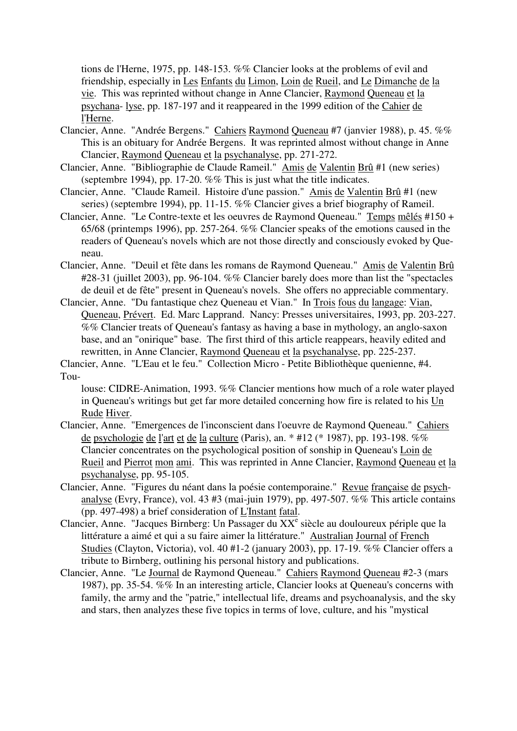tions de l'Herne, 1975, pp. 148-153. %% Clancier looks at the problems of evil and friendship, especially in Les Enfants du Limon, Loin de Rueil, and Le Dimanche de la vie. This was reprinted without change in Anne Clancier, Raymond Queneau et la psychana- lyse, pp. 187-197 and it reappeared in the 1999 edition of the Cahier de l'Herne.

- Clancier, Anne. "Andrée Bergens." Cahiers Raymond Queneau #7 (janvier 1988), p. 45. %% This is an obituary for Andrée Bergens. It was reprinted almost without change in Anne Clancier, Raymond Queneau et la psychanalyse, pp. 271-272.
- Clancier, Anne. "Bibliographie de Claude Rameil." Amis de Valentin Brû #1 (new series) (septembre 1994), pp. 17-20. %% This is just what the title indicates.
- Clancier, Anne. "Claude Rameil. Histoire d'une passion." Amis de Valentin Brû #1 (new series) (septembre 1994), pp. 11-15. %% Clancier gives a brief biography of Rameil.
- Clancier, Anne. "Le Contre-texte et les oeuvres de Raymond Queneau." Temps mêlés #150 + 65/68 (printemps 1996), pp. 257-264. %% Clancier speaks of the emotions caused in the readers of Queneau's novels which are not those directly and consciously evoked by Queneau.
- Clancier, Anne. "Deuil et fête dans les romans de Raymond Queneau." Amis de Valentin Brû #28-31 (juillet 2003), pp. 96-104. %% Clancier barely does more than list the "spectacles de deuil et de fête" present in Queneau's novels. She offers no appreciable commentary.
- Clancier, Anne. "Du fantastique chez Queneau et Vian." In Trois fous du langage: Vian, Queneau, Prévert. Ed. Marc Lapprand. Nancy: Presses universitaires, 1993, pp. 203-227. %% Clancier treats of Queneau's fantasy as having a base in mythology, an anglo-saxon base, and an "onirique" base. The first third of this article reappears, heavily edited and rewritten, in Anne Clancier, Raymond Queneau et la psychanalyse, pp. 225-237.

Clancier, Anne. "L'Eau et le feu." Collection Micro - Petite Bibliothèque quenienne, #4. Tou-

louse: CIDRE-Animation, 1993. %% Clancier mentions how much of a role water played in Queneau's writings but get far more detailed concerning how fire is related to his Un Rude Hiver.

- Clancier, Anne. "Emergences de l'inconscient dans l'oeuvre de Raymond Queneau." Cahiers de psychologie de l'art et de la culture (Paris), an. \* #12 (\* 1987), pp. 193-198. %% Clancier concentrates on the psychological position of sonship in Queneau's Loin de Rueil and Pierrot mon ami. This was reprinted in Anne Clancier, Raymond Queneau et la psychanalyse, pp. 95-105.
- Clancier, Anne. "Figures du néant dans la poésie contemporaine." Revue française de psychanalyse (Evry, France), vol. 43 #3 (mai-juin 1979), pp. 497-507. %% This article contains (pp. 497-498) a brief consideration of L'Instant fatal.
- Clancier, Anne. "Jacques Birnberg: Un Passager du XX<sup>e</sup> siècle au douloureux périple que la littérature a aimé et qui a su faire aimer la littérature." Australian Journal of French Studies (Clayton, Victoria), vol. 40 #1-2 (january 2003), pp. 17-19. %% Clancier offers a tribute to Birnberg, outlining his personal history and publications.
- Clancier, Anne. "Le Journal de Raymond Queneau." Cahiers Raymond Queneau #2-3 (mars 1987), pp. 35-54. %% In an interesting article, Clancier looks at Queneau's concerns with family, the army and the "patrie," intellectual life, dreams and psychoanalysis, and the sky and stars, then analyzes these five topics in terms of love, culture, and his "mystical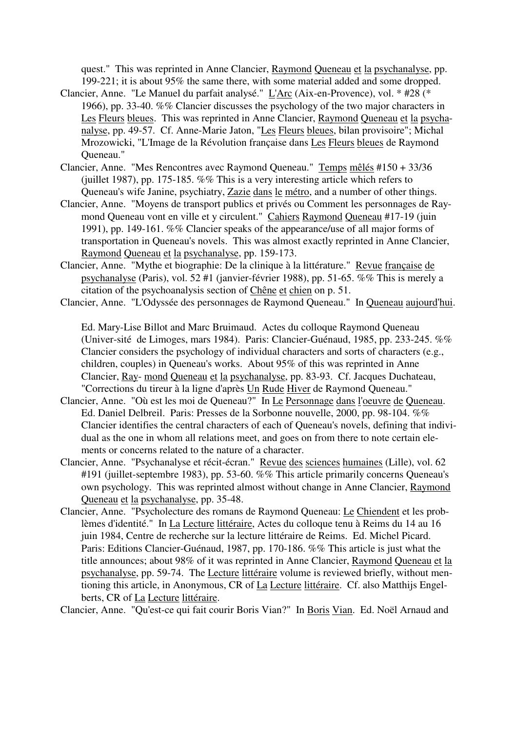quest." This was reprinted in Anne Clancier, Raymond Queneau et la psychanalyse, pp. 199-221; it is about 95% the same there, with some material added and some dropped.

- Clancier, Anne. "Le Manuel du parfait analysé." L'Arc (Aix-en-Provence), vol. \* #28 (\* 1966), pp. 33-40. %% Clancier discusses the psychology of the two major characters in Les Fleurs bleues. This was reprinted in Anne Clancier, Raymond Queneau et la psychanalyse, pp. 49-57. Cf. Anne-Marie Jaton, "Les Fleurs bleues, bilan provisoire"; Michal Mrozowicki, "L'Image de la Révolution française dans Les Fleurs bleues de Raymond Queneau."
- Clancier, Anne. "Mes Rencontres avec Raymond Queneau." Temps mêlés #150 + 33/36 (juillet 1987), pp. 175-185. %% This is a very interesting article which refers to Queneau's wife Janine, psychiatry, Zazie dans le métro, and a number of other things.
- Clancier, Anne. "Moyens de transport publics et privés ou Comment les personnages de Raymond Queneau vont en ville et y circulent." Cahiers Raymond Queneau #17-19 (juin 1991), pp. 149-161. %% Clancier speaks of the appearance/use of all major forms of transportation in Queneau's novels. This was almost exactly reprinted in Anne Clancier, Raymond Queneau et la psychanalyse, pp. 159-173.
- Clancier, Anne. "Mythe et biographie: De la clinique à la littérature." Revue française de psychanalyse (Paris), vol. 52 #1 (janvier-février 1988), pp. 51-65. %% This is merely a citation of the psychoanalysis section of Chêne et chien on p. 51.
- Clancier, Anne. "L'Odyssée des personnages de Raymond Queneau." In Queneau aujourd'hui.

Ed. Mary-Lise Billot and Marc Bruimaud. Actes du colloque Raymond Queneau (Univer-sité de Limoges, mars 1984). Paris: Clancier-Guénaud, 1985, pp. 233-245. %% Clancier considers the psychology of individual characters and sorts of characters (e.g., children, couples) in Queneau's works. About 95% of this was reprinted in Anne Clancier, Ray- mond Queneau et la psychanalyse, pp. 83-93. Cf. Jacques Duchateau, "Corrections du tireur à la ligne d'après Un Rude Hiver de Raymond Queneau."

- Clancier, Anne. "Où est les moi de Queneau?" In Le Personnage dans l'oeuvre de Queneau. Ed. Daniel Delbreil. Paris: Presses de la Sorbonne nouvelle, 2000, pp. 98-104. %% Clancier identifies the central characters of each of Queneau's novels, defining that individual as the one in whom all relations meet, and goes on from there to note certain elements or concerns related to the nature of a character.
- Clancier, Anne. "Psychanalyse et récit-écran." Revue des sciences humaines (Lille), vol. 62 #191 (juillet-septembre 1983), pp. 53-60. %% This article primarily concerns Queneau's own psychology. This was reprinted almost without change in Anne Clancier, Raymond Queneau et la psychanalyse, pp. 35-48.
- Clancier, Anne. "Psycholecture des romans de Raymond Queneau: Le Chiendent et les problèmes d'identité." In La Lecture littéraire, Actes du colloque tenu à Reims du 14 au 16 juin 1984, Centre de recherche sur la lecture littéraire de Reims. Ed. Michel Picard. Paris: Editions Clancier-Guénaud, 1987, pp. 170-186. %% This article is just what the title announces; about 98% of it was reprinted in Anne Clancier, Raymond Queneau et la psychanalyse, pp. 59-74. The Lecture littéraire volume is reviewed briefly, without mentioning this article, in Anonymous, CR of La Lecture littéraire. Cf. also Matthijs Engelberts, CR of La Lecture littéraire.

Clancier, Anne. "Qu'est-ce qui fait courir Boris Vian?" In Boris Vian. Ed. Noël Arnaud and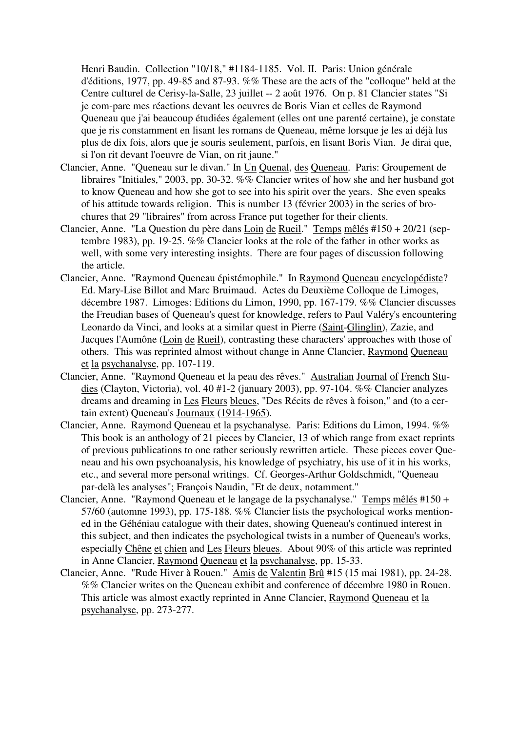Henri Baudin. Collection "10/18," #1184-1185. Vol. II. Paris: Union générale d'éditions, 1977, pp. 49-85 and 87-93. %% These are the acts of the "colloque" held at the Centre culturel de Cerisy-la-Salle, 23 juillet -- 2 août 1976. On p. 81 Clancier states "Si je com-pare mes réactions devant les oeuvres de Boris Vian et celles de Raymond Queneau que j'ai beaucoup étudiées également (elles ont une parenté certaine), je constate que je ris constamment en lisant les romans de Queneau, même lorsque je les ai déjà lus plus de dix fois, alors que je souris seulement, parfois, en lisant Boris Vian. Je dirai que, si l'on rit devant l'oeuvre de Vian, on rit jaune."

- Clancier, Anne. "Queneau sur le divan." In Un Quenal, des Queneau. Paris: Groupement de libraires "Initiales," 2003, pp. 30-32. %% Clancier writes of how she and her husband got to know Queneau and how she got to see into his spirit over the years. She even speaks of his attitude towards religion. This is number 13 (février 2003) in the series of brochures that 29 "libraires" from across France put together for their clients.
- Clancier, Anne. "La Question du père dans Loin de Rueil." Temps mêlés #150 + 20/21 (septembre 1983), pp. 19-25. %% Clancier looks at the role of the father in other works as well, with some very interesting insights. There are four pages of discussion following the article.
- Clancier, Anne. "Raymond Queneau épistémophile." In Raymond Queneau encyclopédiste? Ed. Mary-Lise Billot and Marc Bruimaud. Actes du Deuxième Colloque de Limoges, décembre 1987. Limoges: Editions du Limon, 1990, pp. 167-179. %% Clancier discusses the Freudian bases of Queneau's quest for knowledge, refers to Paul Valéry's encountering Leonardo da Vinci, and looks at a similar quest in Pierre (Saint-Glinglin), Zazie, and Jacques l'Aumône (Loin de Rueil), contrasting these characters' approaches with those of others. This was reprinted almost without change in Anne Clancier, Raymond Queneau et la psychanalyse, pp. 107-119.
- Clancier, Anne. "Raymond Queneau et la peau des rêves." Australian Journal of French Studies (Clayton, Victoria), vol. 40 #1-2 (january 2003), pp. 97-104. %% Clancier analyzes dreams and dreaming in Les Fleurs bleues, "Des Récits de rêves à foison," and (to a certain extent) Queneau's Journaux (1914-1965).
- Clancier, Anne. Raymond Queneau et la psychanalyse. Paris: Editions du Limon, 1994. %% This book is an anthology of 21 pieces by Clancier, 13 of which range from exact reprints of previous publications to one rather seriously rewritten article. These pieces cover Queneau and his own psychoanalysis, his knowledge of psychiatry, his use of it in his works, etc., and several more personal writings. Cf. Georges-Arthur Goldschmidt, "Queneau par-delà les analyses"; François Naudin, "Et de deux, notamment."
- Clancier, Anne. "Raymond Queneau et le langage de la psychanalyse." Temps mêlés #150 + 57/60 (automne 1993), pp. 175-188. %% Clancier lists the psychological works mentioned in the Géhéniau catalogue with their dates, showing Queneau's continued interest in this subject, and then indicates the psychological twists in a number of Queneau's works, especially Chêne et chien and Les Fleurs bleues. About 90% of this article was reprinted in Anne Clancier, Raymond Queneau et la psychanalyse, pp. 15-33.
- Clancier, Anne. "Rude Hiver à Rouen." Amis de Valentin Brû #15 (15 mai 1981), pp. 24-28. %% Clancier writes on the Queneau exhibit and conference of décembre 1980 in Rouen. This article was almost exactly reprinted in Anne Clancier, Raymond Queneau et la psychanalyse, pp. 273-277.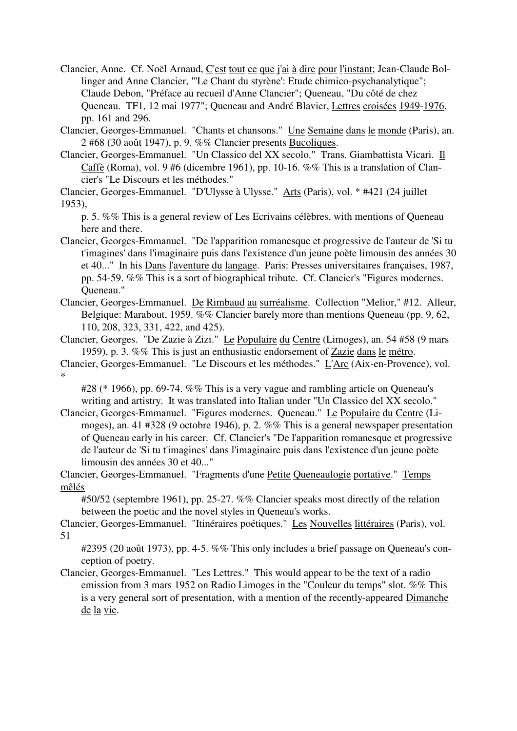Clancier, Anne. Cf. Noël Arnaud, C'est tout ce que j'ai à dire pour l'instant; Jean-Claude Bollinger and Anne Clancier, "'Le Chant du styrène': Etude chimico-psychanalytique"; Claude Debon, "Préface au recueil d'Anne Clancier"; Queneau, "Du côté de chez Queneau. TF1, 12 mai 1977"; Queneau and André Blavier, Lettres croisées 1949-1976, pp. 161 and 296.

Clancier, Georges-Emmanuel. "Chants et chansons." Une Semaine dans le monde (Paris), an. 2 #68 (30 août 1947), p. 9. %% Clancier presents Bucoliques.

Clancier, Georges-Emmanuel. "Un Classico del XX secolo." Trans. Giambattista Vicari. Il Caffè (Roma), vol. 9 #6 (dicembre 1961), pp. 10-16. %% This is a translation of Clancier's "Le Discours et les méthodes."

Clancier, Georges-Emmanuel. "D'Ulysse à Ulysse." Arts (Paris), vol. \* #421 (24 juillet 1953),

p. 5. %% This is a general review of Les Ecrivains célèbres, with mentions of Queneau here and there.

Clancier, Georges-Emmanuel. "De l'apparition romanesque et progressive de l'auteur de 'Si tu t'imagines' dans l'imaginaire puis dans l'existence d'un jeune poète limousin des années 30 et 40..." In his Dans l'aventure du langage. Paris: Presses universitaires françaises, 1987, pp. 54-59. %% This is a sort of biographical tribute. Cf. Clancier's "Figures modernes. Queneau."

Clancier, Georges-Emmanuel. De Rimbaud au surréalisme. Collection "Melior," #12. Alleur, Belgique: Marabout, 1959. %% Clancier barely more than mentions Queneau (pp. 9, 62, 110, 208, 323, 331, 422, and 425).

Clancier, Georges. "De Zazie à Zizi." Le Populaire du Centre (Limoges), an. 54 #58 (9 mars 1959), p. 3. %% This is just an enthusiastic endorsement of Zazie dans le métro.

Clancier, Georges-Emmanuel. "Le Discours et les méthodes." L'Arc (Aix-en-Provence), vol. \*

#28 (\* 1966), pp. 69-74. %% This is a very vague and rambling article on Queneau's writing and artistry. It was translated into Italian under "Un Classico del XX secolo."

Clancier, Georges-Emmanuel. "Figures modernes. Queneau." Le Populaire du Centre (Limoges), an. 41 #328 (9 octobre 1946), p. 2. %% This is a general newspaper presentation of Queneau early in his career. Cf. Clancier's "De l'apparition romanesque et progressive de l'auteur de 'Si tu t'imagines' dans l'imaginaire puis dans l'existence d'un jeune poète limousin des années 30 et 40..."

Clancier, Georges-Emmanuel. "Fragments d'une Petite Queneaulogie portative." Temps mêlés

#50/52 (septembre 1961), pp. 25-27. %% Clancier speaks most directly of the relation between the poetic and the novel styles in Queneau's works.

Clancier, Georges-Emmanuel. "Itinéraires poétiques." Les Nouvelles littéraires (Paris), vol. 51

#2395 (20 août 1973), pp. 4-5. %% This only includes a brief passage on Queneau's conception of poetry.

Clancier, Georges-Emmanuel. "Les Lettres." This would appear to be the text of a radio emission from 3 mars 1952 on Radio Limoges in the "Couleur du temps" slot. %% This is a very general sort of presentation, with a mention of the recently-appeared Dimanche de la vie.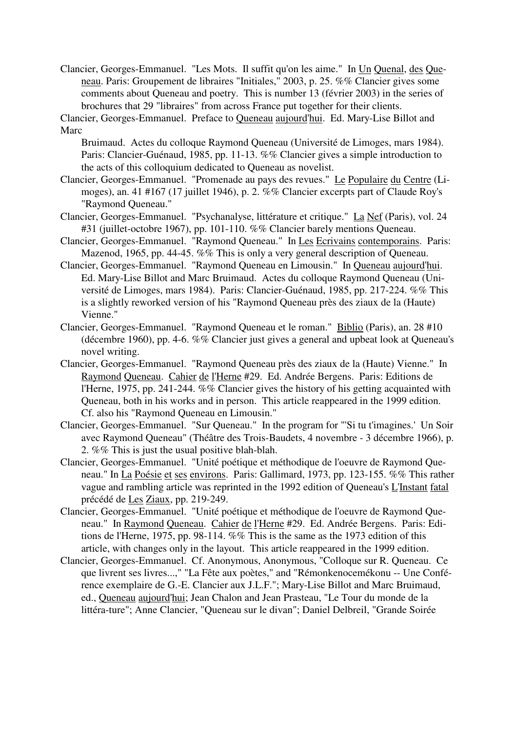Clancier, Georges-Emmanuel. "Les Mots. Il suffit qu'on les aime." In Un Quenal, des Queneau. Paris: Groupement de libraires "Initiales," 2003, p. 25. %% Clancier gives some comments about Queneau and poetry. This is number 13 (février 2003) in the series of brochures that 29 "libraires" from across France put together for their clients.

Clancier, Georges-Emmanuel. Preface to Queneau aujourd'hui. Ed. Mary-Lise Billot and Marc

Bruimaud. Actes du colloque Raymond Queneau (Université de Limoges, mars 1984). Paris: Clancier-Guénaud, 1985, pp. 11-13. %% Clancier gives a simple introduction to the acts of this colloquium dedicated to Queneau as novelist.

- Clancier, Georges-Emmanuel. "Promenade au pays des revues." Le Populaire du Centre (Limoges), an. 41 #167 (17 juillet 1946), p. 2. %% Clancier excerpts part of Claude Roy's "Raymond Queneau."
- Clancier, Georges-Emmanuel. "Psychanalyse, littérature et critique." La Nef (Paris), vol. 24 #31 (juillet-octobre 1967), pp. 101-110. %% Clancier barely mentions Queneau.
- Clancier, Georges-Emmanuel. "Raymond Queneau." In Les Ecrivains contemporains. Paris: Mazenod, 1965, pp. 44-45. %% This is only a very general description of Queneau.
- Clancier, Georges-Emmanuel. "Raymond Queneau en Limousin." In Queneau aujourd'hui. Ed. Mary-Lise Billot and Marc Bruimaud. Actes du colloque Raymond Queneau (Université de Limoges, mars 1984). Paris: Clancier-Guénaud, 1985, pp. 217-224. %% This is a slightly reworked version of his "Raymond Queneau près des ziaux de la (Haute) Vienne."
- Clancier, Georges-Emmanuel. "Raymond Queneau et le roman." Biblio (Paris), an. 28 #10 (décembre 1960), pp. 4-6. %% Clancier just gives a general and upbeat look at Queneau's novel writing.
- Clancier, Georges-Emmanuel. "Raymond Queneau près des ziaux de la (Haute) Vienne." In Raymond Queneau. Cahier de l'Herne #29. Ed. Andrée Bergens. Paris: Editions de l'Herne, 1975, pp. 241-244. %% Clancier gives the history of his getting acquainted with Queneau, both in his works and in person. This article reappeared in the 1999 edition. Cf. also his "Raymond Queneau en Limousin."
- Clancier, Georges-Emmanuel. "Sur Queneau." In the program for "'Si tu t'imagines.' Un Soir avec Raymond Queneau" (Théâtre des Trois-Baudets, 4 novembre - 3 décembre 1966), p. 2. %% This is just the usual positive blah-blah.
- Clancier, Georges-Emmanuel. "Unité poétique et méthodique de l'oeuvre de Raymond Queneau." In La Poésie et ses environs. Paris: Gallimard, 1973, pp. 123-155. %% This rather vague and rambling article was reprinted in the 1992 edition of Queneau's L'Instant fatal précédé de Les Ziaux, pp. 219-249.
- Clancier, Georges-Emmanuel. "Unité poétique et méthodique de l'oeuvre de Raymond Queneau." In Raymond Queneau. Cahier de l'Herne #29. Ed. Andrée Bergens. Paris: Editions de l'Herne, 1975, pp. 98-114. %% This is the same as the 1973 edition of this article, with changes only in the layout. This article reappeared in the 1999 edition.
- Clancier, Georges-Emmanuel. Cf. Anonymous, Anonymous, "Colloque sur R. Queneau. Ce que livrent ses livres...," "La Fête aux poètes," and "Rémonkenocemékonu -- Une Conférence exemplaire de G.-E. Clancier aux J.L.F."; Mary-Lise Billot and Marc Bruimaud, ed., Queneau aujourd'hui; Jean Chalon and Jean Prasteau, "Le Tour du monde de la littéra-ture"; Anne Clancier, "Queneau sur le divan"; Daniel Delbreil, "Grande Soirée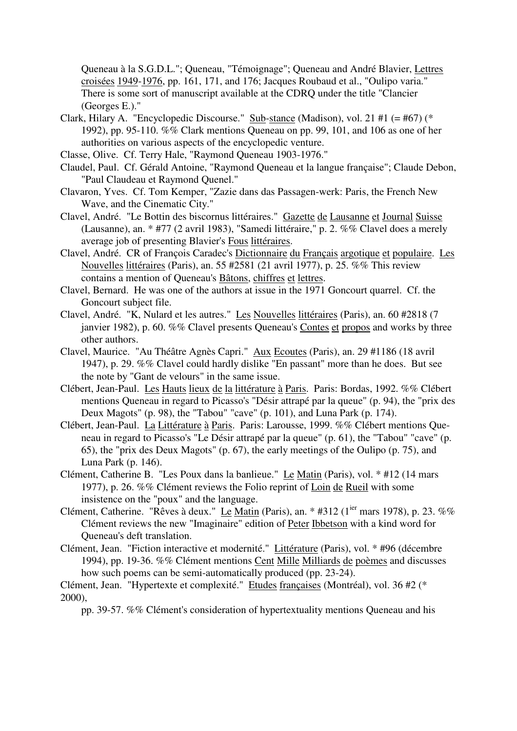Queneau à la S.G.D.L."; Queneau, "Témoignage"; Queneau and André Blavier, Lettres croisées 1949-1976, pp. 161, 171, and 176; Jacques Roubaud et al., "Oulipo varia." There is some sort of manuscript available at the CDRQ under the title "Clancier (Georges E.)."

- Clark, Hilary A. "Encyclopedic Discourse." Sub-stance (Madison), vol. 21 #1  $(=$  #67)  $(*$ 1992), pp. 95-110. %% Clark mentions Queneau on pp. 99, 101, and 106 as one of her authorities on various aspects of the encyclopedic venture.
- Classe, Olive. Cf. Terry Hale, "Raymond Queneau 1903-1976."
- Claudel, Paul. Cf. Gérald Antoine, "Raymond Queneau et la langue française"; Claude Debon, "Paul Claudeau et Raymond Quenel."
- Clavaron, Yves. Cf. Tom Kemper, "Zazie dans das Passagen-werk: Paris, the French New Wave, and the Cinematic City."
- Clavel, André. "Le Bottin des biscornus littéraires." Gazette de Lausanne et Journal Suisse (Lausanne), an. \* #77 (2 avril 1983), "Samedi littéraire," p. 2. %% Clavel does a merely average job of presenting Blavier's Fous littéraires.
- Clavel, André. CR of François Caradec's Dictionnaire du Français argotique et populaire. Les Nouvelles littéraires (Paris), an. 55 #2581 (21 avril 1977), p. 25. %% This review contains a mention of Queneau's Bâtons, chiffres et lettres.
- Clavel, Bernard. He was one of the authors at issue in the 1971 Goncourt quarrel. Cf. the Goncourt subject file.
- Clavel, André. "K, Nulard et les autres." Les Nouvelles littéraires (Paris), an. 60 #2818 (7 janvier 1982), p. 60. %% Clavel presents Queneau's Contes et propos and works by three other authors.
- Clavel, Maurice. "Au Théâtre Agnès Capri." Aux Ecoutes (Paris), an. 29 #1186 (18 avril 1947), p. 29. %% Clavel could hardly dislike "En passant" more than he does. But see the note by "Gant de velours" in the same issue.
- Clébert, Jean-Paul. Les Hauts lieux de la littérature à Paris. Paris: Bordas, 1992. %% Clébert mentions Queneau in regard to Picasso's "Désir attrapé par la queue" (p. 94), the "prix des Deux Magots" (p. 98), the "Tabou" "cave" (p. 101), and Luna Park (p. 174).
- Clébert, Jean-Paul. La Littérature à Paris. Paris: Larousse, 1999. %% Clébert mentions Queneau in regard to Picasso's "Le Désir attrapé par la queue" (p. 61), the "Tabou" "cave" (p. 65), the "prix des Deux Magots" (p. 67), the early meetings of the Oulipo (p. 75), and Luna Park (p. 146).
- Clément, Catherine B. "Les Poux dans la banlieue." Le Matin (Paris), vol. \* #12 (14 mars 1977), p. 26. %% Clément reviews the Folio reprint of Loin de Rueil with some insistence on the "poux" and the language.
- Clément, Catherine. "Rêves à deux." Le Matin (Paris), an. \* #312 (1<sup>ier</sup> mars 1978), p. 23. %% Clément reviews the new "Imaginaire" edition of Peter Ibbetson with a kind word for Queneau's deft translation.
- Clément, Jean. "Fiction interactive et modernité." Littérature (Paris), vol. \* #96 (décembre 1994), pp. 19-36. %% Clément mentions Cent Mille Milliards de poèmes and discusses how such poems can be semi-automatically produced (pp. 23-24).

pp. 39-57. %% Clément's consideration of hypertextuality mentions Queneau and his

Clément, Jean. "Hypertexte et complexité." Etudes françaises (Montréal), vol. 36 #2 (\* 2000),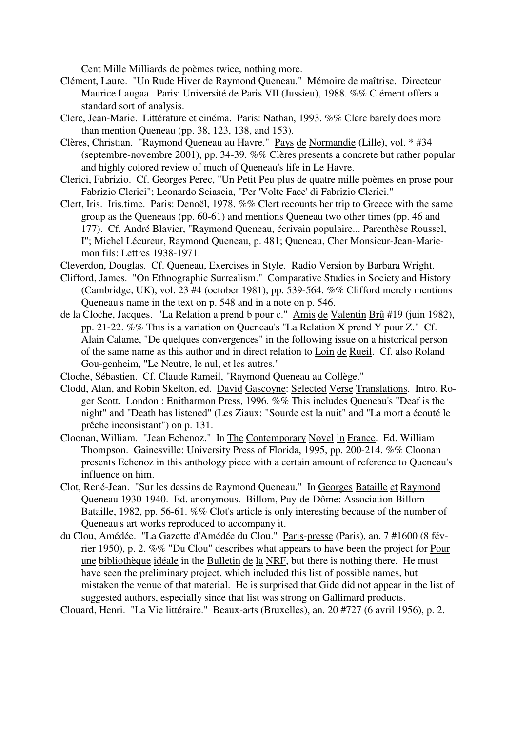Cent Mille Milliards de poèmes twice, nothing more.

- Clément, Laure. "Un Rude Hiver de Raymond Queneau." Mémoire de maîtrise. Directeur Maurice Laugaa. Paris: Université de Paris VII (Jussieu), 1988. %% Clément offers a standard sort of analysis.
- Clerc, Jean-Marie. Littérature et cinéma. Paris: Nathan, 1993. %% Clerc barely does more than mention Queneau (pp. 38, 123, 138, and 153).
- Clères, Christian. "Raymond Queneau au Havre." Pays de Normandie (Lille), vol. \* #34 (septembre-novembre 2001), pp. 34-39. %% Clères presents a concrete but rather popular and highly colored review of much of Queneau's life in Le Havre.
- Clerici, Fabrizio. Cf. Georges Perec, "Un Petit Peu plus de quatre mille poèmes en prose pour Fabrizio Clerici"; Leonardo Sciascia, "Per 'Volte Face' di Fabrizio Clerici."
- Clert, Iris. Iris.time. Paris: Denoël, 1978. %% Clert recounts her trip to Greece with the same group as the Queneaus (pp. 60-61) and mentions Queneau two other times (pp. 46 and 177). Cf. André Blavier, "Raymond Queneau, écrivain populaire... Parenthèse Roussel, I"; Michel Lécureur, Raymond Queneau, p. 481; Queneau, Cher Monsieur-Jean-Mariemon fils: Lettres 1938-1971.
- Cleverdon, Douglas. Cf. Queneau, Exercises in Style. Radio Version by Barbara Wright.
- Clifford, James. "On Ethnographic Surrealism." Comparative Studies in Society and History (Cambridge, UK), vol. 23 #4 (october 1981), pp. 539-564. %% Clifford merely mentions Queneau's name in the text on p. 548 and in a note on p. 546.
- de la Cloche, Jacques. "La Relation a prend b pour c." Amis de Valentin Brû #19 (juin 1982), pp. 21-22. %% This is a variation on Queneau's "La Relation X prend Y pour Z." Cf. Alain Calame, "De quelques convergences" in the following issue on a historical person of the same name as this author and in direct relation to Loin de Rueil. Cf. also Roland Gou-genheim, "Le Neutre, le nul, et les autres."
- Cloche, Sébastien. Cf. Claude Rameil, "Raymond Queneau au Collège."
- Clodd, Alan, and Robin Skelton, ed. David Gascoyne: Selected Verse Translations. Intro. Roger Scott. London : Enitharmon Press, 1996. %% This includes Queneau's "Deaf is the night" and "Death has listened" (Les Ziaux: "Sourde est la nuit" and "La mort a écouté le prêche inconsistant") on p. 131.
- Cloonan, William. "Jean Echenoz." In The Contemporary Novel in France. Ed. William Thompson. Gainesville: University Press of Florida, 1995, pp. 200-214. %% Cloonan presents Echenoz in this anthology piece with a certain amount of reference to Queneau's influence on him.
- Clot, René-Jean. "Sur les dessins de Raymond Queneau." In Georges Bataille et Raymond Queneau 1930-1940. Ed. anonymous. Billom, Puy-de-Dôme: Association Billom-Bataille, 1982, pp. 56-61. %% Clot's article is only interesting because of the number of Queneau's art works reproduced to accompany it.
- du Clou, Amédée. "La Gazette d'Amédée du Clou." Paris-presse (Paris), an. 7 #1600 (8 février 1950), p. 2. %% "Du Clou" describes what appears to have been the project for Pour une bibliothèque idéale in the Bulletin de la NRF, but there is nothing there. He must have seen the preliminary project, which included this list of possible names, but mistaken the venue of that material. He is surprised that Gide did not appear in the list of suggested authors, especially since that list was strong on Gallimard products.
- Clouard, Henri. "La Vie littéraire." Beaux-arts (Bruxelles), an. 20 #727 (6 avril 1956), p. 2.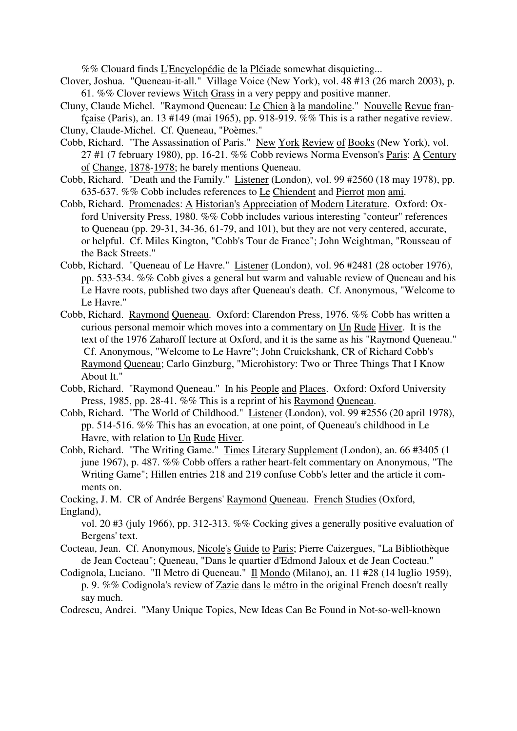%% Clouard finds L'Encyclopédie de la Pléiade somewhat disquieting...

- Clover, Joshua. "Queneau-it-all." Village Voice (New York), vol. 48 #13 (26 march 2003), p. 61. %% Clover reviews Witch Grass in a very peppy and positive manner.
- Cluny, Claude Michel. "Raymond Queneau: Le Chien à la mandoline." Nouvelle Revue franfçaise (Paris), an. 13 #149 (mai 1965), pp. 918-919. %% This is a rather negative review.
- Cluny, Claude-Michel. Cf. Queneau, "Poèmes."
- Cobb, Richard. "The Assassination of Paris." New York Review of Books (New York), vol. 27 #1 (7 february 1980), pp. 16-21. %% Cobb reviews Norma Evenson's Paris: A Century of Change, 1878-1978; he barely mentions Queneau.
- Cobb, Richard. "Death and the Family." Listener (London), vol. 99 #2560 (18 may 1978), pp. 635-637. %% Cobb includes references to Le Chiendent and Pierrot mon ami.
- Cobb, Richard. Promenades: A Historian's Appreciation of Modern Literature. Oxford: Oxford University Press, 1980. %% Cobb includes various interesting "conteur" references to Queneau (pp. 29-31, 34-36, 61-79, and 101), but they are not very centered, accurate, or helpful. Cf. Miles Kington, "Cobb's Tour de France"; John Weightman, "Rousseau of the Back Streets."
- Cobb, Richard. "Queneau of Le Havre." Listener (London), vol. 96 #2481 (28 october 1976), pp. 533-534. %% Cobb gives a general but warm and valuable review of Queneau and his Le Havre roots, published two days after Queneau's death. Cf. Anonymous, "Welcome to Le Havre."
- Cobb, Richard. Raymond Queneau. Oxford: Clarendon Press, 1976. %% Cobb has written a curious personal memoir which moves into a commentary on Un Rude Hiver. It is the text of the 1976 Zaharoff lecture at Oxford, and it is the same as his "Raymond Queneau." Cf. Anonymous, "Welcome to Le Havre"; John Cruickshank, CR of Richard Cobb's Raymond Queneau; Carlo Ginzburg, "Microhistory: Two or Three Things That I Know About It."
- Cobb, Richard. "Raymond Queneau." In his People and Places. Oxford: Oxford University Press, 1985, pp. 28-41. %% This is a reprint of his Raymond Queneau.
- Cobb, Richard. "The World of Childhood." Listener (London), vol. 99 #2556 (20 april 1978), pp. 514-516. %% This has an evocation, at one point, of Queneau's childhood in Le Havre, with relation to Un Rude Hiver.
- Cobb, Richard. "The Writing Game." Times Literary Supplement (London), an. 66 #3405 (1 june 1967), p. 487. %% Cobb offers a rather heart-felt commentary on Anonymous, "The Writing Game"; Hillen entries 218 and 219 confuse Cobb's letter and the article it comments on.

Cocking, J. M. CR of Andrée Bergens' Raymond Queneau. French Studies (Oxford, England),

vol. 20 #3 (july 1966), pp. 312-313. %% Cocking gives a generally positive evaluation of Bergens' text.

- Cocteau, Jean. Cf. Anonymous, Nicole's Guide to Paris; Pierre Caizergues, "La Bibliothèque de Jean Cocteau"; Queneau, "Dans le quartier d'Edmond Jaloux et de Jean Cocteau."
- Codignola, Luciano. "Il Metro di Queneau." Il Mondo (Milano), an. 11 #28 (14 luglio 1959), p. 9. %% Codignola's review of Zazie dans le métro in the original French doesn't really say much.
- Codrescu, Andrei. "Many Unique Topics, New Ideas Can Be Found in Not-so-well-known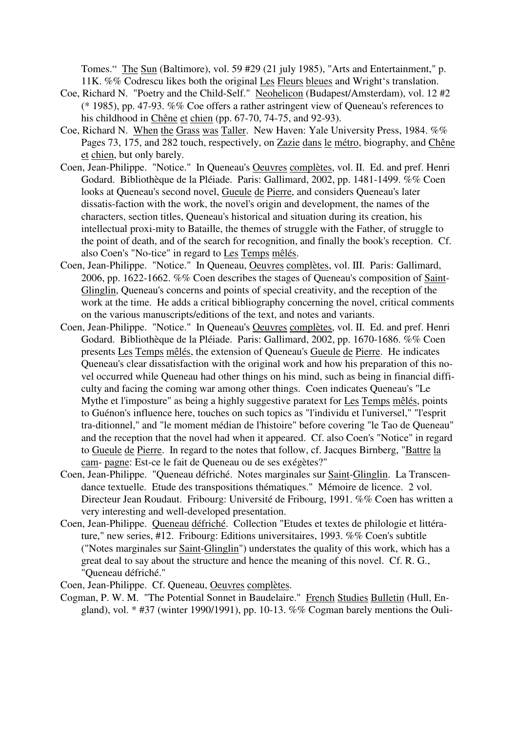Tomes." The Sun (Baltimore), vol. 59 #29 (21 july 1985), "Arts and Entertainment," p. 11K. %% Codrescu likes both the original Les Fleurs bleues and Wright's translation.

- Coe, Richard N. "Poetry and the Child-Self." Neohelicon (Budapest/Amsterdam), vol. 12 #2 (\* 1985), pp. 47-93. %% Coe offers a rather astringent view of Queneau's references to his childhood in Chêne et chien (pp. 67-70, 74-75, and 92-93).
- Coe, Richard N. When the Grass was Taller. New Haven: Yale University Press, 1984. %% Pages 73, 175, and 282 touch, respectively, on Zazie dans le métro, biography, and Chêne et chien, but only barely.
- Coen, Jean-Philippe. "Notice." In Queneau's Oeuvres complètes, vol. II. Ed. and pref. Henri Godard. Bibliothèque de la Pléiade. Paris: Gallimard, 2002, pp. 1481-1499. %% Coen looks at Queneau's second novel, Gueule de Pierre, and considers Queneau's later dissatis-faction with the work, the novel's origin and development, the names of the characters, section titles, Queneau's historical and situation during its creation, his intellectual proxi-mity to Bataille, the themes of struggle with the Father, of struggle to the point of death, and of the search for recognition, and finally the book's reception. Cf. also Coen's "No-tice" in regard to Les Temps mêlés.
- Coen, Jean-Philippe. "Notice." In Queneau, Oeuvres complètes, vol. III. Paris: Gallimard, 2006, pp. 1622-1662. %% Coen describes the stages of Queneau's composition of Saint-Glinglin, Queneau's concerns and points of special creativity, and the reception of the work at the time. He adds a critical bibliography concerning the novel, critical comments on the various manuscripts/editions of the text, and notes and variants.
- Coen, Jean-Philippe. "Notice." In Queneau's Oeuvres complètes, vol. II. Ed. and pref. Henri Godard. Bibliothèque de la Pléiade. Paris: Gallimard, 2002, pp. 1670-1686. %% Coen presents Les Temps mêlés, the extension of Queneau's Gueule de Pierre. He indicates Queneau's clear dissatisfaction with the original work and how his preparation of this novel occurred while Queneau had other things on his mind, such as being in financial difficulty and facing the coming war among other things. Coen indicates Queneau's "Le Mythe et l'imposture" as being a highly suggestive paratext for Les Temps mêlés, points to Guénon's influence here, touches on such topics as "l'individu et l'universel," "l'esprit tra-ditionnel," and "le moment médian de l'histoire" before covering "le Tao de Queneau" and the reception that the novel had when it appeared. Cf. also Coen's "Notice" in regard to Gueule de Pierre. In regard to the notes that follow, cf. Jacques Birnberg, "Battre la cam- pagne: Est-ce le fait de Queneau ou de ses exégètes?"
- Coen, Jean-Philippe. "Queneau défriché. Notes marginales sur Saint-Glinglin. La Transcendance textuelle. Etude des transpositions thématiques." Mémoire de licence. 2 vol. Directeur Jean Roudaut. Fribourg: Université de Fribourg, 1991. %% Coen has written a very interesting and well-developed presentation.
- Coen, Jean-Philippe. Queneau défriché. Collection "Etudes et textes de philologie et littérature," new series, #12. Fribourg: Editions universitaires, 1993. %% Coen's subtitle ("Notes marginales sur Saint-Glinglin") understates the quality of this work, which has a great deal to say about the structure and hence the meaning of this novel. Cf. R. G., "Queneau défriché."

Coen, Jean-Philippe. Cf. Queneau, Oeuvres complètes.

Cogman, P. W. M. "The Potential Sonnet in Baudelaire." French Studies Bulletin (Hull, England), vol. \* #37 (winter 1990/1991), pp. 10-13. %% Cogman barely mentions the Ouli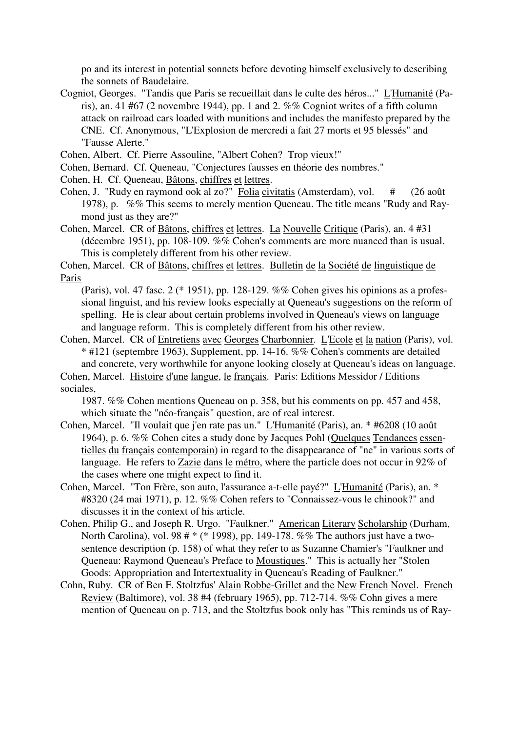po and its interest in potential sonnets before devoting himself exclusively to describing the sonnets of Baudelaire.

- Cogniot, Georges. "Tandis que Paris se recueillait dans le culte des héros..." L'Humanité (Paris), an. 41 #67 (2 novembre 1944), pp. 1 and 2. %% Cogniot writes of a fifth column attack on railroad cars loaded with munitions and includes the manifesto prepared by the CNE. Cf. Anonymous, "L'Explosion de mercredi a fait 27 morts et 95 blessés" and "Fausse Alerte."
- Cohen, Albert. Cf. Pierre Assouline, "Albert Cohen? Trop vieux!"
- Cohen, Bernard. Cf. Queneau, "Conjectures fausses en théorie des nombres."
- Cohen, H. Cf. Queneau, Bâtons, chiffres et lettres.
- Cohen, J. "Rudy en raymond ook al zo?" Folia civitatis (Amsterdam), vol. # (26 août 1978), p. %% This seems to merely mention Queneau. The title means "Rudy and Raymond just as they are?"
- Cohen, Marcel. CR of Bâtons, chiffres et lettres. La Nouvelle Critique (Paris), an. 4 #31 (décembre 1951), pp. 108-109. %% Cohen's comments are more nuanced than is usual. This is completely different from his other review.

Cohen, Marcel. CR of Bâtons, chiffres et lettres. Bulletin de la Société de linguistique de Paris

(Paris), vol. 47 fasc. 2 (\* 1951), pp. 128-129. %% Cohen gives his opinions as a professional linguist, and his review looks especially at Queneau's suggestions on the reform of spelling. He is clear about certain problems involved in Queneau's views on language and language reform. This is completely different from his other review.

Cohen, Marcel. CR of Entretiens avec Georges Charbonnier. L'Ecole et la nation (Paris), vol. \* #121 (septembre 1963), Supplement, pp. 14-16. %% Cohen's comments are detailed and concrete, very worthwhile for anyone looking closely at Queneau's ideas on language.

Cohen, Marcel. Histoire d'une langue, le français. Paris: Editions Messidor / Editions sociales,

1987. %% Cohen mentions Queneau on p. 358, but his comments on pp. 457 and 458, which situate the "néo-français" question, are of real interest.

- Cohen, Marcel. "Il voulait que j'en rate pas un." L'Humanité (Paris), an. \* #6208 (10 août 1964), p. 6. %% Cohen cites a study done by Jacques Pohl (Quelques Tendances essentielles du français contemporain) in regard to the disappearance of "ne" in various sorts of language. He refers to Zazie dans le métro, where the particle does not occur in 92% of the cases where one might expect to find it.
- Cohen, Marcel. "Ton Frère, son auto, l'assurance a-t-elle payé?" L'Humanité (Paris), an. \* #8320 (24 mai 1971), p. 12. %% Cohen refers to "Connaissez-vous le chinook?" and discusses it in the context of his article.
- Cohen, Philip G., and Joseph R. Urgo. "Faulkner." American Literary Scholarship (Durham, North Carolina), vol. 98 # \* (\* 1998), pp. 149-178. %% The authors just have a twosentence description (p. 158) of what they refer to as Suzanne Chamier's "Faulkner and Queneau: Raymond Queneau's Preface to Moustiques." This is actually her "Stolen Goods: Appropriation and Intertextuality in Queneau's Reading of Faulkner."
- Cohn, Ruby. CR of Ben F. Stoltzfus' Alain Robbe-Grillet and the New French Novel. French Review (Baltimore), vol. 38 #4 (february 1965), pp. 712-714. %% Cohn gives a mere mention of Queneau on p. 713, and the Stoltzfus book only has "This reminds us of Ray-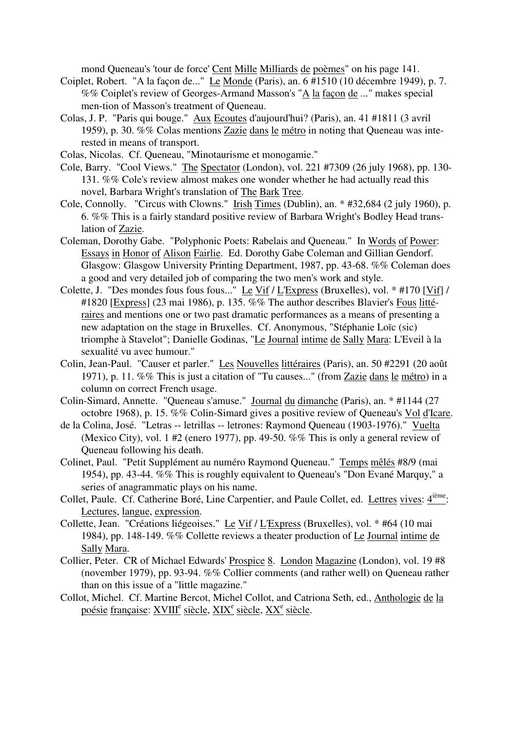mond Queneau's 'tour de force' Cent Mille Milliards de poèmes" on his page 141.

- Coiplet, Robert. "A la façon de..." Le Monde (Paris), an. 6 #1510 (10 décembre 1949), p. 7. %% Coiplet's review of Georges-Armand Masson's "A la façon de ..." makes special men-tion of Masson's treatment of Queneau.
- Colas, J. P. "Paris qui bouge." Aux Ecoutes d'aujourd'hui? (Paris), an. 41 #1811 (3 avril 1959), p. 30. %% Colas mentions Zazie dans le métro in noting that Queneau was interested in means of transport.
- Colas, Nicolas. Cf. Queneau, "Minotaurisme et monogamie."
- Cole, Barry. "Cool Views." The Spectator (London), vol. 221 #7309 (26 july 1968), pp. 130- 131. %% Cole's review almost makes one wonder whether he had actually read this novel, Barbara Wright's translation of The Bark Tree.
- Cole, Connolly. "Circus with Clowns." Irish Times (Dublin), an. \* #32,684 (2 july 1960), p. 6. %% This is a fairly standard positive review of Barbara Wright's Bodley Head translation of Zazie.
- Coleman, Dorothy Gabe. "Polyphonic Poets: Rabelais and Queneau." In Words of Power: Essays in Honor of Alison Fairlie. Ed. Dorothy Gabe Coleman and Gillian Gendorf. Glasgow: Glasgow University Printing Department, 1987, pp. 43-68. %% Coleman does a good and very detailed job of comparing the two men's work and style.
- Colette, J. "Des mondes fous fous fous..." Le Vif / L'Express (Bruxelles), vol. \* #170 [Vif] / #1820 [Express] (23 mai 1986), p. 135. %% The author describes Blavier's Fous littéraires and mentions one or two past dramatic performances as a means of presenting a new adaptation on the stage in Bruxelles. Cf. Anonymous, "Stéphanie Loïc (sic) triomphe à Stavelot"; Danielle Godinas, "Le Journal intime de Sally Mara: L'Eveil à la sexualité vu avec humour."
- Colin, Jean-Paul. "Causer et parler." Les Nouvelles littéraires (Paris), an. 50 #2291 (20 août 1971), p. 11. %% This is just a citation of "Tu causes..." (from Zazie dans le métro) in a column on correct French usage.
- Colin-Simard, Annette. "Queneau s'amuse." Journal du dimanche (Paris), an. \* #1144 (27 octobre 1968), p. 15. %% Colin-Simard gives a positive review of Queneau's Vol d'Icare.
- de la Colina, José. "Letras -- letrillas -- letrones: Raymond Queneau (1903-1976)." Vuelta (Mexico City), vol. 1 #2 (enero 1977), pp. 49-50. %% This is only a general review of Queneau following his death.
- Colinet, Paul. "Petit Supplément au numéro Raymond Queneau." Temps mêlés #8/9 (mai 1954), pp. 43-44. %% This is roughly equivalent to Queneau's "Don Evané Marquy," a series of anagrammatic plays on his name.
- Collet, Paule. Cf. Catherine Boré, Line Carpentier, and Paule Collet, ed. Lettres vives: 4<sup>ième</sup>: Lectures, langue, expression.
- Collette, Jean. "Créations liégeoises." Le Vif / L'Express (Bruxelles), vol. \* #64 (10 mai 1984), pp. 148-149. %% Collette reviews a theater production of Le Journal intime de Sally Mara.
- Collier, Peter. CR of Michael Edwards' Prospice 8. London Magazine (London), vol. 19 #8 (november 1979), pp. 93-94. %% Collier comments (and rather well) on Queneau rather than on this issue of a "little magazine."
- Collot, Michel. Cf. Martine Bercot, Michel Collot, and Catriona Seth, ed., Anthologie de la poésie française: XVIII<sup>e</sup> siècle, XIX<sup>e</sup> siècle, XX<sup>e</sup> siècle.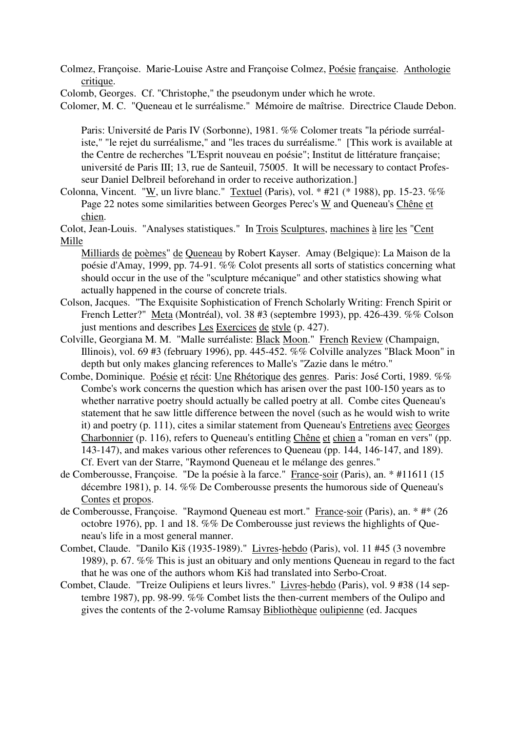Colmez, Françoise. Marie-Louise Astre and Françoise Colmez, Poésie française. Anthologie critique.

Colomb, Georges. Cf. "Christophe," the pseudonym under which he wrote.

Colomer, M. C. "Queneau et le surréalisme." Mémoire de maîtrise. Directrice Claude Debon.

Paris: Université de Paris IV (Sorbonne), 1981. %% Colomer treats "la période surréaliste," "le rejet du surréalisme," and "les traces du surréalisme." [This work is available at the Centre de recherches "L'Esprit nouveau en poésie"; Institut de littérature française; université de Paris III; 13, rue de Santeuil, 75005. It will be necessary to contact Professeur Daniel Delbreil beforehand in order to receive authorization.]

Colonna, Vincent. "W, un livre blanc." Textuel (Paris), vol.  $*$  #21 ( $*$  1988), pp. 15-23. %% Page 22 notes some similarities between Georges Perec's W and Queneau's Chêne et chien.

Colot, Jean-Louis. "Analyses statistiques." In Trois Sculptures, machines à lire les "Cent Mille

Milliards de poèmes" de Queneau by Robert Kayser. Amay (Belgique): La Maison de la poésie d'Amay, 1999, pp. 74-91. %% Colot presents all sorts of statistics concerning what should occur in the use of the "sculpture mécanique" and other statistics showing what actually happened in the course of concrete trials.

- Colson, Jacques. "The Exquisite Sophistication of French Scholarly Writing: French Spirit or French Letter?" Meta (Montréal), vol. 38 #3 (septembre 1993), pp. 426-439. %% Colson just mentions and describes Les Exercices de style (p. 427).
- Colville, Georgiana M. M. "Malle surréaliste: Black Moon." French Review (Champaign, Illinois), vol. 69 #3 (february 1996), pp. 445-452. %% Colville analyzes "Black Moon" in depth but only makes glancing references to Malle's "Zazie dans le métro."
- Combe, Dominique. Poésie et récit: Une Rhétorique des genres. Paris: José Corti, 1989. %% Combe's work concerns the question which has arisen over the past 100-150 years as to whether narrative poetry should actually be called poetry at all. Combe cites Queneau's statement that he saw little difference between the novel (such as he would wish to write it) and poetry (p. 111), cites a similar statement from Queneau's Entretiens avec Georges Charbonnier (p. 116), refers to Queneau's entitling Chêne et chien a "roman en vers" (pp. 143-147), and makes various other references to Queneau (pp. 144, 146-147, and 189). Cf. Evert van der Starre, "Raymond Queneau et le mélange des genres."
- de Comberousse, Françoise. "De la poésie à la farce." France-soir (Paris), an. \* #11611 (15 décembre 1981), p. 14. %% De Comberousse presents the humorous side of Queneau's Contes et propos.
- de Comberousse, Françoise. "Raymond Queneau est mort." France-soir (Paris), an. \* #\* (26 octobre 1976), pp. 1 and 18. %% De Comberousse just reviews the highlights of Queneau's life in a most general manner.
- Combet, Claude. "Danilo Kiš (1935-1989)." Livres-hebdo (Paris), vol. 11 #45 (3 novembre 1989), p. 67. %% This is just an obituary and only mentions Queneau in regard to the fact that he was one of the authors whom Kiš had translated into Serbo-Croat.
- Combet, Claude. "Treize Oulipiens et leurs livres." Livres-hebdo (Paris), vol. 9 #38 (14 septembre 1987), pp. 98-99. %% Combet lists the then-current members of the Oulipo and gives the contents of the 2-volume Ramsay Bibliothèque oulipienne (ed. Jacques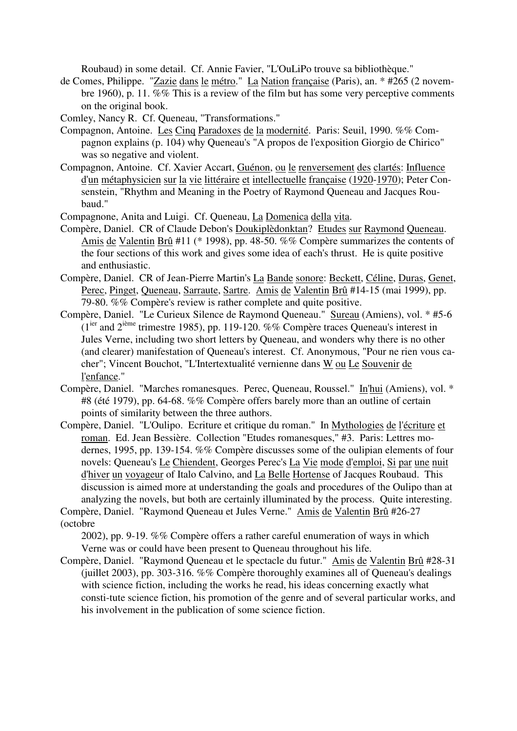Roubaud) in some detail. Cf. Annie Favier, "L'OuLiPo trouve sa bibliothèque."

- de Comes, Philippe. "Zazie dans le métro." La Nation française (Paris), an. \* #265 (2 novembre 1960), p. 11. %% This is a review of the film but has some very perceptive comments on the original book.
- Comley, Nancy R. Cf. Queneau, "Transformations."
- Compagnon, Antoine. Les Cinq Paradoxes de la modernité. Paris: Seuil, 1990. %% Compagnon explains (p. 104) why Queneau's "A propos de l'exposition Giorgio de Chirico" was so negative and violent.
- Compagnon, Antoine. Cf. Xavier Accart, Guénon, ou le renversement des clartés: Influence d'un métaphysicien sur la vie littéraire et intellectuelle française (1920-1970); Peter Consenstein, "Rhythm and Meaning in the Poetry of Raymond Queneau and Jacques Roubaud."
- Compagnone, Anita and Luigi. Cf. Queneau, La Domenica della vita.
- Compère, Daniel. CR of Claude Debon's Doukiplèdonktan? Etudes sur Raymond Queneau. Amis de Valentin Brû #11 (\* 1998), pp. 48-50. %% Compère summarizes the contents of the four sections of this work and gives some idea of each's thrust. He is quite positive and enthusiastic.
- Compère, Daniel. CR of Jean-Pierre Martin's La Bande sonore: Beckett, Céline, Duras, Genet, Perec, Pinget, Queneau, Sarraute, Sartre. Amis de Valentin Brû #14-15 (mai 1999), pp. 79-80. %% Compère's review is rather complete and quite positive.
- Compère, Daniel. "Le Curieux Silence de Raymond Queneau." Sureau (Amiens), vol. \* #5-6  $(1^{ier})$  and  $2^{i\text{eme}}$  trimestre 1985), pp. 119-120. %% Compère traces Queneau's interest in Jules Verne, including two short letters by Queneau, and wonders why there is no other (and clearer) manifestation of Queneau's interest. Cf. Anonymous, "Pour ne rien vous cacher"; Vincent Bouchot, "L'Intertextualité vernienne dans W ou Le Souvenir de l'enfance."
- Compère, Daniel. "Marches romanesques. Perec, Queneau, Roussel." In'hui (Amiens), vol. \* #8 (été 1979), pp. 64-68. %% Compère offers barely more than an outline of certain points of similarity between the three authors.
- Compère, Daniel. "L'Oulipo. Ecriture et critique du roman." In Mythologies de l'écriture et roman. Ed. Jean Bessière. Collection "Etudes romanesques," #3. Paris: Lettres modernes, 1995, pp. 139-154. %% Compère discusses some of the oulipian elements of four novels: Queneau's Le Chiendent, Georges Perec's La Vie mode d'emploi, Si par une nuit d'hiver un voyageur of Italo Calvino, and La Belle Hortense of Jacques Roubaud. This discussion is aimed more at understanding the goals and procedures of the Oulipo than at analyzing the novels, but both are certainly illuminated by the process. Quite interesting.

Compère, Daniel. "Raymond Queneau et Jules Verne." Amis de Valentin Brû #26-27 (octobre

2002), pp. 9-19. %% Compère offers a rather careful enumeration of ways in which Verne was or could have been present to Queneau throughout his life.

Compère, Daniel. "Raymond Queneau et le spectacle du futur." Amis de Valentin Brû #28-31 (juillet 2003), pp. 303-316. %% Compère thoroughly examines all of Queneau's dealings with science fiction, including the works he read, his ideas concerning exactly what consti-tute science fiction, his promotion of the genre and of several particular works, and his involvement in the publication of some science fiction.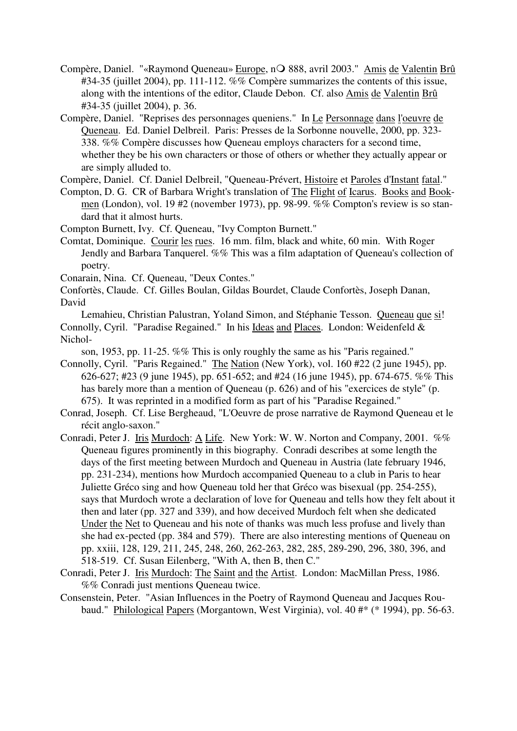- Compère, Daniel. "«Raymond Queneau» Europe, nO 888, avril 2003." Amis de Valentin Brû #34-35 (juillet 2004), pp. 111-112. %% Compère summarizes the contents of this issue, along with the intentions of the editor, Claude Debon. Cf. also Amis de Valentin Brû #34-35 (juillet 2004), p. 36.
- Compère, Daniel. "Reprises des personnages queniens." In Le Personnage dans l'oeuvre de Queneau. Ed. Daniel Delbreil. Paris: Presses de la Sorbonne nouvelle, 2000, pp. 323- 338. %% Compère discusses how Queneau employs characters for a second time, whether they be his own characters or those of others or whether they actually appear or are simply alluded to.

Compère, Daniel. Cf. Daniel Delbreil, "Queneau-Prévert, Histoire et Paroles d'Instant fatal."

- Compton, D. G. CR of Barbara Wright's translation of The Flight of Icarus. Books and Bookmen (London), vol. 19 #2 (november 1973), pp. 98-99. %% Compton's review is so standard that it almost hurts.
- Compton Burnett, Ivy. Cf. Queneau, "Ivy Compton Burnett."
- Comtat, Dominique. Courir les rues. 16 mm. film, black and white, 60 min. With Roger Jendly and Barbara Tanquerel. %% This was a film adaptation of Queneau's collection of poetry.

Conarain, Nina. Cf. Queneau, "Deux Contes."

Confortès, Claude. Cf. Gilles Boulan, Gildas Bourdet, Claude Confortès, Joseph Danan, David

Lemahieu, Christian Palustran, Yoland Simon, and Stéphanie Tesson. Queneau que si! Connolly, Cyril. "Paradise Regained." In his Ideas and Places. London: Weidenfeld & Nichol-

son, 1953, pp. 11-25. %% This is only roughly the same as his "Paris regained."

- Connolly, Cyril. "Paris Regained." The Nation (New York), vol. 160 #22 (2 june 1945), pp. 626-627; #23 (9 june 1945), pp. 651-652; and #24 (16 june 1945), pp. 674-675. %% This has barely more than a mention of Queneau (p. 626) and of his "exercices de style" (p. 675). It was reprinted in a modified form as part of his "Paradise Regained."
- Conrad, Joseph. Cf. Lise Bergheaud, "L'Oeuvre de prose narrative de Raymond Queneau et le récit anglo-saxon."
- Conradi, Peter J. Iris Murdoch: A Life. New York: W. W. Norton and Company, 2001. %% Queneau figures prominently in this biography. Conradi describes at some length the days of the first meeting between Murdoch and Queneau in Austria (late february 1946, pp. 231-234), mentions how Murdoch accompanied Queneau to a club in Paris to hear Juliette Gréco sing and how Queneau told her that Gréco was bisexual (pp. 254-255), says that Murdoch wrote a declaration of love for Queneau and tells how they felt about it then and later (pp. 327 and 339), and how deceived Murdoch felt when she dedicated Under the Net to Queneau and his note of thanks was much less profuse and lively than she had ex-pected (pp. 384 and 579). There are also interesting mentions of Queneau on pp. xxiii, 128, 129, 211, 245, 248, 260, 262-263, 282, 285, 289-290, 296, 380, 396, and 518-519. Cf. Susan Eilenberg, "With A, then B, then C."
- Conradi, Peter J. Iris Murdoch: The Saint and the Artist. London: MacMillan Press, 1986. %% Conradi just mentions Queneau twice.
- Consenstein, Peter. "Asian Influences in the Poetry of Raymond Queneau and Jacques Roubaud." Philological Papers (Morgantown, West Virginia), vol. 40 #\* (\* 1994), pp. 56-63.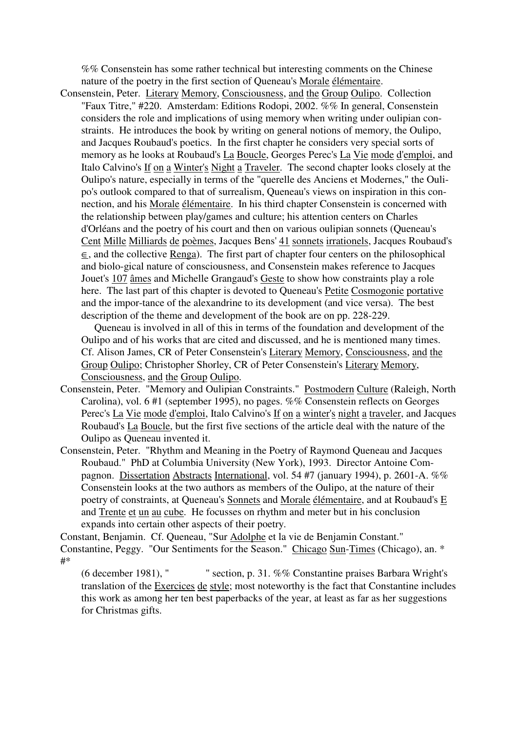%% Consenstein has some rather technical but interesting comments on the Chinese nature of the poetry in the first section of Queneau's Morale élémentaire.

Consenstein, Peter. Literary Memory, Consciousness, and the Group Oulipo. Collection "Faux Titre," #220. Amsterdam: Editions Rodopi, 2002. %% In general, Consenstein considers the role and implications of using memory when writing under oulipian constraints. He introduces the book by writing on general notions of memory, the Oulipo, and Jacques Roubaud's poetics. In the first chapter he considers very special sorts of memory as he looks at Roubaud's La Boucle, Georges Perec's La Vie mode d'emploi, and Italo Calvino's If on a Winter's Night a Traveler. The second chapter looks closely at the Oulipo's nature, especially in terms of the "querelle des Anciens et Modernes," the Oulipo's outlook compared to that of surrealism, Queneau's views on inspiration in this connection, and his Morale élémentaire. In his third chapter Consenstein is concerned with the relationship between play/games and culture; his attention centers on Charles d'Orléans and the poetry of his court and then on various oulipian sonnets (Queneau's Cent Mille Milliards de poèmes, Jacques Bens' 41 sonnets irrationels, Jacques Roubaud's  $\overline{\epsilon}$ , and the collective Renga). The first part of chapter four centers on the philosophical and biolo-gical nature of consciousness, and Consenstein makes reference to Jacques Jouet's 107 âmes and Michelle Grangaud's Geste to show how constraints play a role here. The last part of this chapter is devoted to Queneau's Petite Cosmogonie portative and the impor-tance of the alexandrine to its development (and vice versa). The best description of the theme and development of the book are on pp. 228-229.

 Queneau is involved in all of this in terms of the foundation and development of the Oulipo and of his works that are cited and discussed, and he is mentioned many times. Cf. Alison James, CR of Peter Consenstein's Literary Memory, Consciousness, and the Group Oulipo; Christopher Shorley, CR of Peter Consenstein's Literary Memory, Consciousness, and the Group Oulipo.

- Consenstein, Peter. "Memory and Oulipian Constraints." Postmodern Culture (Raleigh, North Carolina), vol. 6 #1 (september 1995), no pages. %% Consenstein reflects on Georges Perec's La Vie mode d'emploi, Italo Calvino's If on a winter's night a traveler, and Jacques Roubaud's La Boucle, but the first five sections of the article deal with the nature of the Oulipo as Queneau invented it.
- Consenstein, Peter. "Rhythm and Meaning in the Poetry of Raymond Queneau and Jacques Roubaud." PhD at Columbia University (New York), 1993. Director Antoine Compagnon. Dissertation Abstracts International, vol. 54 #7 (january 1994), p. 2601-A. %% Consenstein looks at the two authors as members of the Oulipo, at the nature of their poetry of constraints, at Queneau's Sonnets and Morale élémentaire, and at Roubaud's E and Trente et un au cube. He focusses on rhythm and meter but in his conclusion expands into certain other aspects of their poetry.

Constant, Benjamin. Cf. Queneau, "Sur Adolphe et la vie de Benjamin Constant." Constantine, Peggy. "Our Sentiments for the Season." Chicago Sun-Times (Chicago), an. \* #\*

(6 december 1981), " " section, p. 31. %% Constantine praises Barbara Wright's translation of the Exercices de style; most noteworthy is the fact that Constantine includes this work as among her ten best paperbacks of the year, at least as far as her suggestions for Christmas gifts.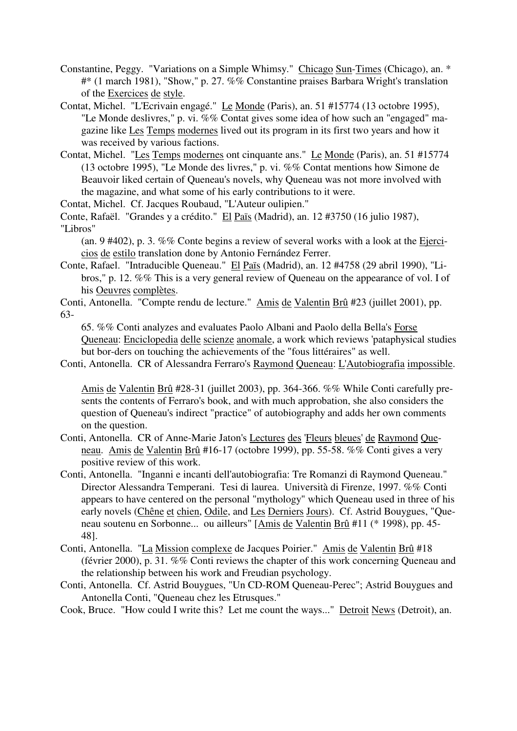- Constantine, Peggy. "Variations on a Simple Whimsy." Chicago Sun-Times (Chicago), an. \* #\* (1 march 1981), "Show," p. 27. %% Constantine praises Barbara Wright's translation of the Exercices de style.
- Contat, Michel. "L'Ecrivain engagé." Le Monde (Paris), an. 51 #15774 (13 octobre 1995), "Le Monde deslivres," p. vi. %% Contat gives some idea of how such an "engaged" magazine like Les Temps modernes lived out its program in its first two years and how it was received by various factions.
- Contat, Michel. "Les Temps modernes ont cinquante ans." Le Monde (Paris), an. 51 #15774 (13 octobre 1995), "Le Monde des livres," p. vi. %% Contat mentions how Simone de Beauvoir liked certain of Queneau's novels, why Queneau was not more involved with the magazine, and what some of his early contributions to it were.

Contat, Michel. Cf. Jacques Roubaud, "L'Auteur oulipien."

Conte, Rafaël. "Grandes y a crédito." El Païs (Madrid), an. 12 #3750 (16 julio 1987), "Libros"

(an. 9 #402), p. 3. %% Conte begins a review of several works with a look at the Ejercicios de estilo translation done by Antonio Fernández Ferrer.

Conte, Rafael. "Intraducible Queneau." El Païs (Madrid), an. 12 #4758 (29 abril 1990), "Libros," p. 12. %% This is a very general review of Queneau on the appearance of vol. I of his Oeuvres complètes.

Conti, Antonella. "Compte rendu de lecture." Amis de Valentin Brû #23 (juillet 2001), pp. 63-

65. %% Conti analyzes and evaluates Paolo Albani and Paolo della Bella's Forse Queneau: Enciclopedia delle scienze anomale, a work which reviews 'pataphysical studies but bor-ders on touching the achievements of the "fous littéraires" as well.

Conti, Antonella. CR of Alessandra Ferraro's Raymond Queneau: L'Autobiografia impossible.

Amis de Valentin Brû #28-31 (juillet 2003), pp. 364-366. %% While Conti carefully presents the contents of Ferraro's book, and with much approbation, she also considers the question of Queneau's indirect "practice" of autobiography and adds her own comments on the question.

- Conti, Antonella. CR of Anne-Marie Jaton's Lectures des 'Fleurs bleues' de Raymond Queneau. Amis de Valentin Brû #16-17 (octobre 1999), pp. 55-58. %% Conti gives a very positive review of this work.
- Conti, Antonella. "Inganni e incanti dell'autobiografia: Tre Romanzi di Raymond Queneau." Director Alessandra Temperani. Tesi di laurea. Università di Firenze, 1997. %% Conti appears to have centered on the personal "mythology" which Queneau used in three of his early novels (Chêne et chien, Odile, and Les Derniers Jours). Cf. Astrid Bouygues, "Oueneau soutenu en Sorbonne... ou ailleurs" [Amis de Valentin Brû #11 (\* 1998), pp. 45- 48].
- Conti, Antonella. "La Mission complexe de Jacques Poirier." Amis de Valentin Brû #18 (février 2000), p. 31. %% Conti reviews the chapter of this work concerning Queneau and the relationship between his work and Freudian psychology.
- Conti, Antonella. Cf. Astrid Bouygues, "Un CD-ROM Queneau-Perec"; Astrid Bouygues and Antonella Conti, "Queneau chez les Etrusques."

Cook, Bruce. "How could I write this? Let me count the ways..." Detroit News (Detroit), an.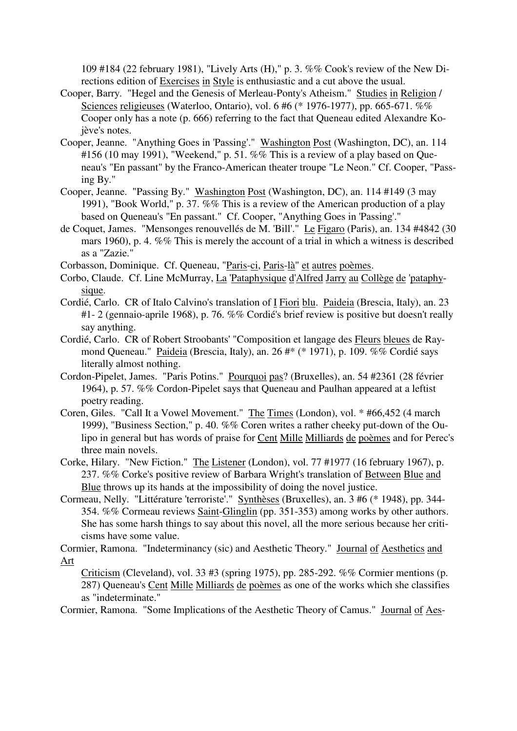109 #184 (22 february 1981), "Lively Arts (H)," p. 3. %% Cook's review of the New Directions edition of Exercises in Style is enthusiastic and a cut above the usual.

- Cooper, Barry. "Hegel and the Genesis of Merleau-Ponty's Atheism." Studies in Religion / Sciences religieuses (Waterloo, Ontario), vol. 6 #6 (\* 1976-1977), pp. 665-671. %% Cooper only has a note (p. 666) referring to the fact that Queneau edited Alexandre Kojève's notes.
- Cooper, Jeanne. "Anything Goes in 'Passing'." Washington Post (Washington, DC), an. 114 #156 (10 may 1991), "Weekend," p. 51. %% This is a review of a play based on Queneau's "En passant" by the Franco-American theater troupe "Le Neon." Cf. Cooper, "Passing By."
- Cooper, Jeanne. "Passing By." Washington Post (Washington, DC), an. 114 #149 (3 may 1991), "Book World," p. 37. %% This is a review of the American production of a play based on Queneau's "En passant." Cf. Cooper, "Anything Goes in 'Passing'."
- de Coquet, James. "Mensonges renouvellés de M. 'Bill'." Le Figaro (Paris), an. 134 #4842 (30 mars 1960), p. 4. %% This is merely the account of a trial in which a witness is described as a "Zazie."
- Corbasson, Dominique. Cf. Queneau, "Paris-ci, Paris-là" et autres poèmes.
- Corbo, Claude. Cf. Line McMurray, La 'Pataphysique d'Alfred Jarry au Collège de 'pataphysique.
- Cordié, Carlo. CR of Italo Calvino's translation of I Fiori blu. Paideia (Brescia, Italy), an. 23 #1- 2 (gennaio-aprile 1968), p. 76. %% Cordié's brief review is positive but doesn't really say anything.
- Cordié, Carlo. CR of Robert Stroobants' "Composition et langage des Fleurs bleues de Raymond Queneau." Paideia (Brescia, Italy), an. 26 #\* (\* 1971), p. 109. %% Cordié says literally almost nothing.
- Cordon-Pipelet, James. "Paris Potins." Pourquoi pas? (Bruxelles), an. 54 #2361 (28 février 1964), p. 57. %% Cordon-Pipelet says that Queneau and Paulhan appeared at a leftist poetry reading.
- Coren, Giles. "Call It a Vowel Movement." The Times (London), vol. \* #66,452 (4 march 1999), "Business Section," p. 40. %% Coren writes a rather cheeky put-down of the Oulipo in general but has words of praise for Cent Mille Milliards de poèmes and for Perec's three main novels.
- Corke, Hilary. "New Fiction." The Listener (London), vol. 77 #1977 (16 february 1967), p. 237. %% Corke's positive review of Barbara Wright's translation of Between Blue and Blue throws up its hands at the impossibility of doing the novel justice.
- Cormeau, Nelly. "Littérature 'terroriste'." Synthèses (Bruxelles), an. 3 #6 (\* 1948), pp. 344- 354. %% Cormeau reviews Saint-Glinglin (pp. 351-353) among works by other authors. She has some harsh things to say about this novel, all the more serious because her criticisms have some value.

Cormier, Ramona. "Indeterminancy (sic) and Aesthetic Theory." Journal of Aesthetics and Art

Criticism (Cleveland), vol. 33 #3 (spring 1975), pp. 285-292. %% Cormier mentions (p. 287) Queneau's Cent Mille Milliards de poèmes as one of the works which she classifies as "indeterminate."

Cormier, Ramona. "Some Implications of the Aesthetic Theory of Camus." Journal of Aes-